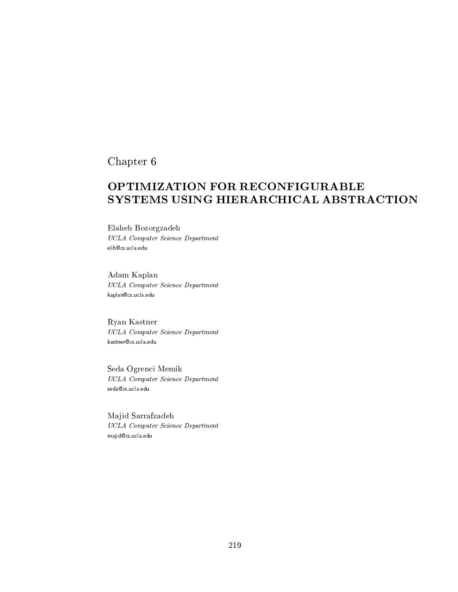# Chapter  $6$

# OPTIMIZATION FOR RECONFIGURABLE SYSTEMS USING HIERARCHICAL ABSTRACTION

Elaheh Bozorgzadeh UCLA Computer Science Department elib@cs.ucla.edu

Adam Kaplan UCLA Computer Science Department kaplan@cs.ucla.edu

Ryan Kastner UCLA Computer Science Department kastner@cs.ucla.edu

Seda Ogrenci Memik UCLA Computer Science Department seda@cs.ucla.edu

Ma jid Sarrafzadeh UCLA Computer Science Department majid@cs.ucla.edu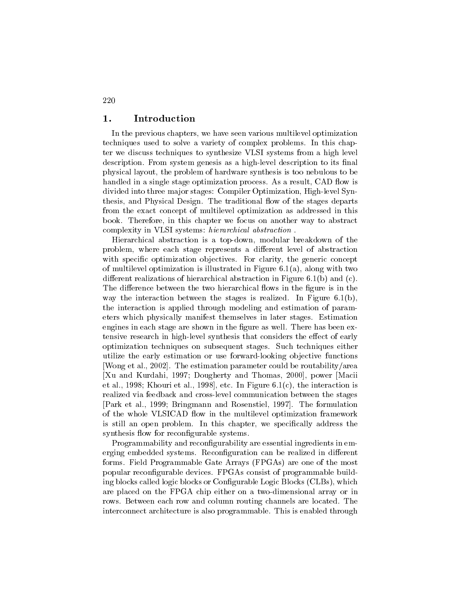# Introduction

In the previous chapters we have seen various multilevel optimization techniques used to solve a variety of complex problems. In this chapter we discuss techniques to synthesize VLSI systems from a high level description From system genesis as a high-level description to its nal physical layout, the problem of hardware synthesis is too nebulous to be handled in a single stage optimization process. As a result, CAD flow is divided into three ma jor stages Compiler Optimization High-level Synthesis, and Physical Design. The traditional flow of the stages departs from the exact concept of multilevel optimization as addressed in this book Therefore in this chapter we focus on another way to abstract complexity in VLSI systems: hierarchical abstraction.

Hierarchical abstraction isa top-down modular breakdown of the problem, where each stage represents a different level of abstraction with specific optimization objectives. For clarity, the generic concept of multiplevel optimization is in Figure . In Figure , we are the figure  $\mathbf{a}$ dierent realizations of hierarchical abstractions of hierarchical abstraction in Figure . And  $\alpha$ The difference between the two hierarchical flows in the figure is in the way the interaction between the stages is realized. In Figure  $6.1(b)$ , the interaction is applied through modeling and estimation of parameters which physically manifest themselves in later stages Estimation engines in each stage are shown in the figure as well. There has been extensive research in high-level synthesis that considers the eect of early optimization techniques on subsequent stages. Such techniques either utilize the early estimation or use forward-looking ob jective functions [Wong et al., 2002]. The estimation parameter could be routability/area [Xu and Kurdahi, 1997; Dougherty and Thomas, 2000], power [Macii et als et al Khouri et al et al in Figure . In Figure . It is a controlled in realized via feedback and cross-level communication between the stages [Park et al., 1999; Bringmann and Rosenstiel, 1997]. The formulation of the whole VLSICAD flow in the multilevel optimization framework is still an open problem. In this chapter, we specifically address the synthesis flow for reconfigurable systems.

Programmability and reconfigurability are essential ingredients in emerging embedded systems. Reconfiguration can be realized in different for a field  $\mathbb{P}^{\text{max}}$  are one of the most  $\mathbb{P}^{\text{max}}$ popular reconfigurable devices. FPGAs consist of programmable building blocks called logic blocks or  $\mathbf{E}$ are placed on the FPGA chip either on a two-dimensional array or in rows. Between each row and column routing channels are located. The interconnect architecture is also programmable. This is enabled through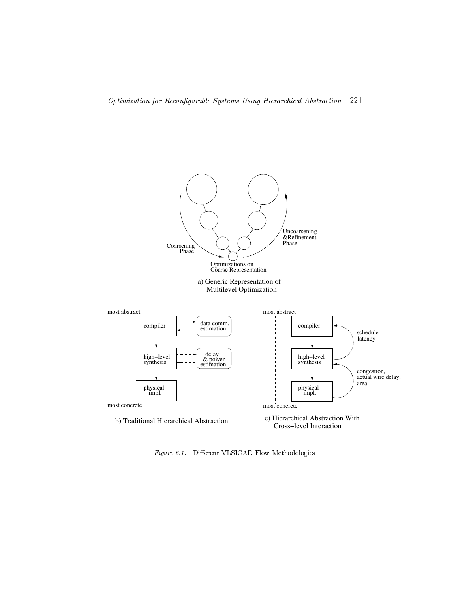

Figure - Dierent VLSICAD Flow Methodologies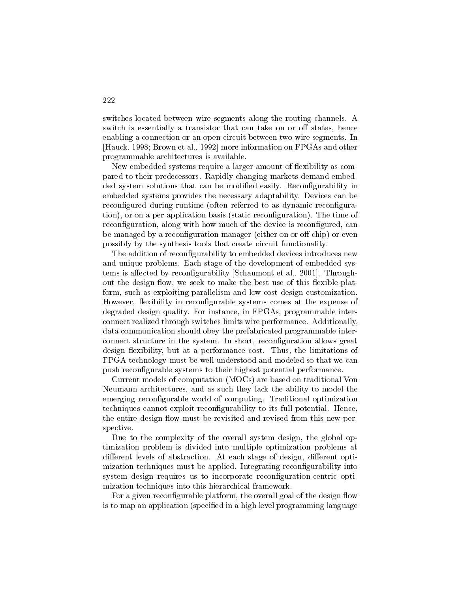switches located between wire segments along the routing channels A switch is essentially a transistor that can take on or off states, hence enabling a connection or an open circuit between two wire segments In [Hauck, 1998; Brown et al., 1992] more information on FPGAs and other programmable architectures is available

New embedded systems require a larger amount of flexibility as compared to their predecessors Rapidly changing markets demand embedded system solutions that can be modified easily. Reconfigurability in embedded systems provides the necessary adaptability. Devices can be reconfigured during runtime (often referred to as dynamic reconfiguration or on a perfect reconguration basis of time or on a perfect reconguration basis of time or on a perfect r reconfiguration, along with how much of the device is reconfigured, can be managed by a reconguration manager either on or o-chip or even possibly by the synthesis tools that create circuit functionality

The addition of reconfigurability to embedded devices introduces new and unique problems. Each stage of the development of embedded systems is affected by reconfigurability [Schaumont et al., 2001]. Throughout the design flow, we seek to make the best use of this flexible platfor such as exploiting parallelism and low-such as exploiting parallelism and low-such and low-such and low-such as  $\ell$ However, flexibility in reconfigurable systems comes at the expense of degraded design quality. For instance, in FPGAs, programmable interconnect realized through switches limits wire performance Additionally data communication should obey the prefabricated programmable interconnect structure in the system. In short, reconfiguration allows great design flexibility, but at a performance cost. Thus, the limitations of FPGA technology must be well understood and modeled so that we can push reconfigurable systems to their highest potential performance.

Current models of computation MOCs are based on traditional Von Neumann architectures, and as such they lack the ability to model the emerging reconfigurable world of computing. Traditional optimization techniques cannot exploit reconfigurability to its full potential. Hence, the entire design flow must be revisited and revised from this new perspective

Due to the complexity of the overall system design, the global optimization problem is divided into multiple optimization problems at different levels of abstraction. At each stage of design, different optimization techniques must be applied. Integrating reconfigurability into system design requires us to incorporate reconguration-centric optimization techniques into this hierarchical framework

For a given reconfigurable platform, the overall goal of the design flow is to map an application (specified in a high level programming language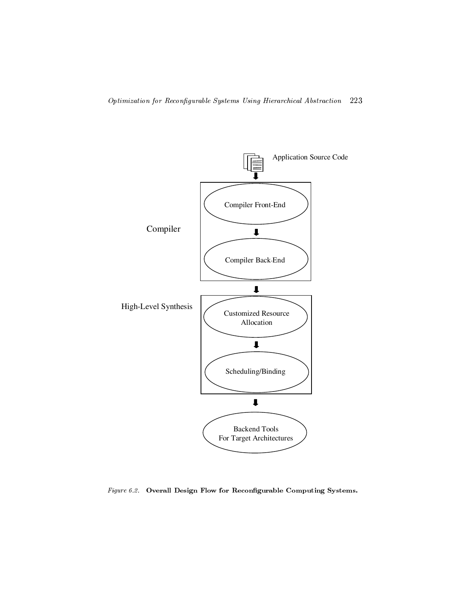

Figure 6.2. Overall Design Flow for Reconfigurable Computing Systems.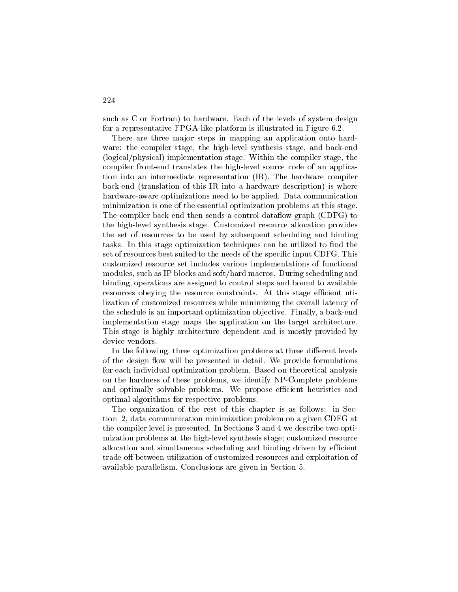such as  $\Gamma$  or  $\Gamma$  or  $\Gamma$  or  $\Gamma$  or  $\Gamma$  or  $\Gamma$  or  $\Gamma$  or  $\Gamma$  or  $\Gamma$  or  $\Gamma$  or  $\Gamma$  or  $\Gamma$  or  $\Gamma$  or  $\Gamma$  or  $\Gamma$  or  $\Gamma$  or  $\Gamma$  or  $\Gamma$  or  $\Gamma$  or  $\Gamma$  or  $\Gamma$  or  $\Gamma$  or  $\Gamma$  or  $\Gamma$  or  $\Gamma$  or  $\Gamma$  or  $\Gamma$  for a representative FPGA-like platform is illustrated in Figure 

There are three major steps in mapping an application onto hardware the compiler stage the high-level synthesis stage and back-end logicalphysical implementation stage Within the compiler stage the end translates the translates the translates the high-code of an application of an application of an applicatio tion into an intermediate representation  $\{x_i\}_{i=1}^N$  and intermediate  $\{x_i\}_{i=1}^N$ end translation of the translation of the translation of the translation of the translation of the translation hardware-aware optimizations need to be applied Data communication minimization is one of the essential optimization problems at this stage end then sends a control data a control distribution of the sends a control of the control of the control of t the high-level synthesis stage Customized resource allocation provides the set of resources to be used by subsequent scheduling and binding tasks. In this stage optimization techniques can be utilized to find the set of resources best suited to the needs of the specific input CDFG. This customized resource set includes various implementations of functional modules, such as IP blocks and soft/hard macros. During scheduling and binding, operations are assigned to control steps and bound to available resources obeying the resource constraints. At this stage efficient utilization of customized resources while minimizing the overall latency of the schedule is an important optimization ob jective Finally a back-end implementation stage maps the application on the target architecture This stage is highly architecture dependent and is mostly provided by device vendors

In the following, three optimization problems at three different levels of the design flow will be presented in detail. We provide formulations for each individual optimization problem. Based on theoretical analysis on the hardness of these problems we identify the identifying problems  $\sim$ and optimally solvable problems. We propose efficient heuristics and optimal algorithms for respective problems

The organization of the rest of this chapter is as follows: in Section 2, data communication minimization problem on a given CDFG at the compiler level is presented. In Sections 3 and 4 we describe two optimization problems at the high-level synthesis stage customized resource allocation and simultaneous scheduling and binding driven by efficient trade-o between utilization of customized resources and exploitation of available parallelism. Conclusions are given in Section 5.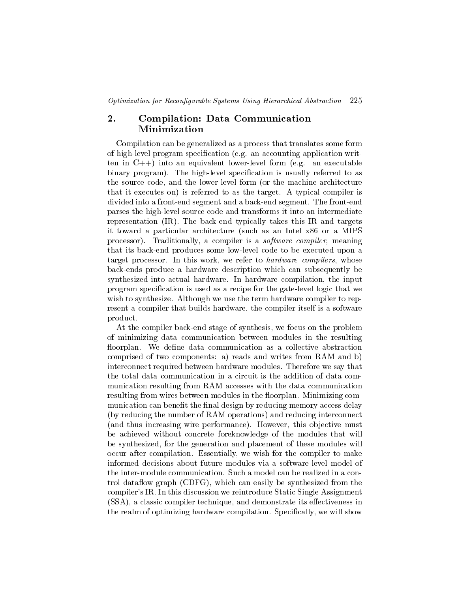### $2.$ Compilation: Data Communication Minimization

Compilation can be generalized as a process that translates some form level program special program species in a continuity which writeten in C into an equivalent lower-level form eg an executable  $\mathcal{L}$  , program is usually referred to as interesting to assume the special of  $\mathcal{L}$ the source code and the lower-level form or the machine architecture that it executes on the target and the target  $\alpha$  the target  $\alpha$  the target  $\alpha$ divided into a front-end segment and a back-end segment The front-end partes the code of the source code and transformation in internal contractions into an intermediate representation  $\{z_1, z_2, \ldots, z_n\}$  is the state  $\{z_1, z_2, \ldots, z_n\}$  takes the state this interpretation of  $\{z_1, z_2, \ldots, z_n\}$ it toward a particular architecture (such as an Intel x86 or a MIPS processor is a compiler in a compared of a compiler meaning the component  $\Delta$ that its back-end produces some low-level code to be executed upon a target processor. In this work, we refer to *hardware compilers*, whose ends produce a hardware description which can subsequently be a hardware description which can subsequently be synthesized into actual hardware. In hardware compilation, the input program specication is used as a recipe for the gate-level logic that we wish to synthesize. Although we use the term hardware compiler to represent a compiler that builds hardware, the compiler itself is a software product

At the compiler back-end stage of synthesis we focus on the problem of minimizing data communication between modules in the resulting floorplan. We define data communication as a collective abstraction comprised of two components a reads and writes from RAM and b interconnect required between hardware modules. Therefore we say that the total data communication in a circuit is the addition of data communication resulting from RAM accesses with the data communication resulting from wires between modules in the floorplan. Minimizing communication can benefit the final design by reducing memory access delay by reducing the number of RAM operations and reducing interconnect and thus increasing wire performance However this ob jective must be achieved without concrete foreknowledge of the modules that will be synthesized, for the generation and placement of these modules will occur after compilation Essentially we wish for the compiler to make trol data own graph  $\mathcal{L}$  , which can easily be synthesized from the synthesized from the synthesized from the synthesized from the synthesized from the synthesized from the synthesized from the synthesized from the sy compiler's IR. In this discussion we reintroduce Static Single Assignment SSA a classic compiler technique and demonstrate its eectiveness in the realm of optimizing hardware compilation. Specifically, we will show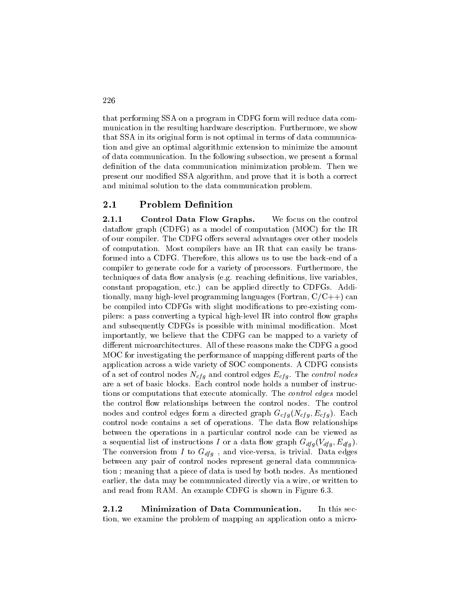that performing SSA on a program in CDFG form will reduce data communication in the resulting hardware description. Furthermore, we show that SSA in its original form is not optimal in terms of data communication and give an optimal algorithmic extension to minimize the amount of data communication. In the following subsection, we present a formal definition of the data communication minimization problem. Then we present our modified SSA algorithm, and prove that it is both a correct and minimal solution to the data communication problem

#### $\bf 2.1$ **Problem Definition**

 $2.1.1$ Control Data Flow Graphs. We focus on the control decrease  $\alpha$  ,  $\alpha$  model of  $\alpha$  model of computation  $\alpha$  , and it computation  $\alpha$ of our compiler. The CDFG offers several advantages over other models of computation Most compilers have an IR that can easily be transformed into a CDFG Therefore this allows us to use the back-end of a compiler to generate code for a variety of processors. Furthermore, the techniques of data flow analysis (e.g. reaching definitions, live variables, constant propagation etc.) to CDFGs Additional direction of the CDFGs Additional tionally many high-level programming languages Fortran CC can be compiled into CDFGs with slight modications to pre-existing compilers a pass converting a typical high-level IR into control ow graphs and subsequently CDFGs is possible with minimal modification. Most importantly, we believe that the CDFG can be mapped to a variety of different microarchitectures. All of these reasons make the CDFG a good MOC for investigating the performance of mapping different parts of the application across a wide variety of SOC components A CDFG consists  $\sigma$  a set of control nodes  $\Gamma$ <sub>(f)</sub> and control edges  $\Gamma$ <sub>(f)</sub>. The control nodes are a set of basic blocks Each control node holds a number of instructions or computations that execute atomically. The *control edges* model the control flow relationships between the control nodes. The control  $\frac{1}{2}$  and control edges form a directed graph  $\frac{1}{2}$   $\frac{1}{2}$   $\frac{1}{2}$   $\frac{1}{2}$   $\frac{1}{2}$   $\frac{1}{2}$   $\frac{1}{2}$ control node contains a set of operations. The data flow relationships between the operations in a particular control node can be viewed as a sequential list of instructions I of a data now  $S_{\rm F}$  which  $S_{\rm eff}$   $q_1$  is  $q_1$  is  $q_2$ The conversion from I to G<sub>alla</sub>  $\frac{1}{2}$  and vice-versal is trivial. Data eagles between any pair of control nodes represent general data communication; meaning that a piece of data is used by both nodes. As mentioned earlier, the data may be communicated directly via a wire, or written to and read from RAM. An example CDFG is shown in Figure 6.3.

2.1.2 Minimization of Data Communication. In this section we examine the problem of mapping an application onto a micro-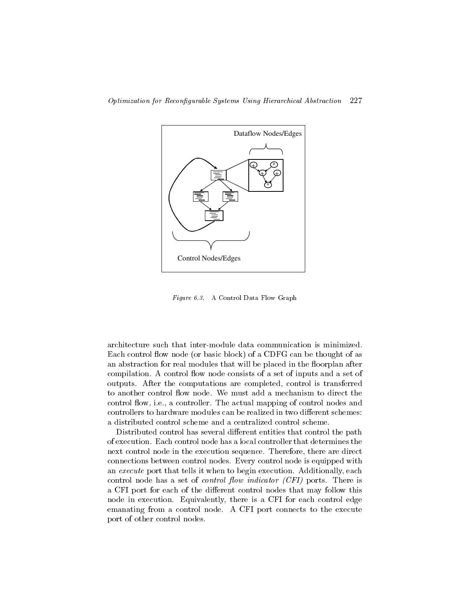

Figure 6.3. A Control Data Flow Graph

 $\mathbb{R}$  of a CDFG can be thought of assumption  $\mathbb{R}$  as a CDFG can be thought of assumption of assumption of assumption of assumption of assumption of assumption of assumption of assumption of assumption of assumption an abstraction for real modules that will be placed in the floorplan after compilation. A control flow node consists of a set of inputs and a set of outputs. After the computations are completed, control is transferred to another control flow node. We must add a mechanism to direct the control flow, i.e., a controller. The actual mapping of control nodes and controllers to hardware modules can be realized in two different schemes: a distributed control scheme and a centralized control scheme

Distributed control has several different entities that control the path of execution Each control node has a local controller that determines the next control node in the execution sequence. Therefore, there are direct connections between control nodes Every control node is equipped with an *execute* port that tells it when to begin execution. Additionally, each control node has a set of control owners there is a set of control owners that the control owners There is a set of control owners that the control owners that the control owners that the control owners that the control ow a CFI port for each of the different control nodes that may follow this node in execution. Equivalently, there is a CFI for each control edge emanating from a control node A CFI port connects to the execute port of other control nodes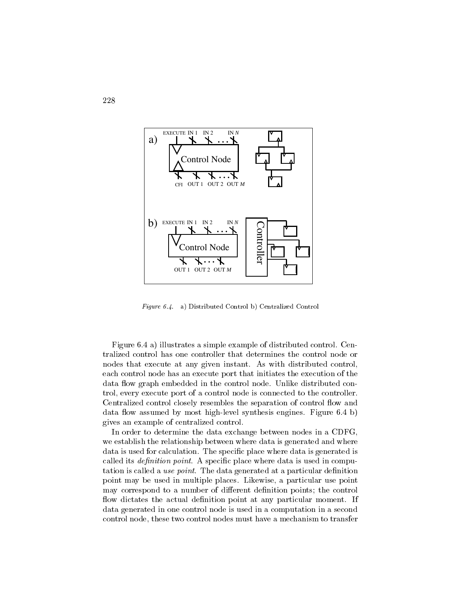

Figure 6.4. a) Distributed Control b) Centralized Control

Figure a illustrates a simple example of distributed control Centralized control has one controller that determines the control node or nodes that execute at any given instant. As with distributed control, each control node has an execute port that initiates the execution of the data flow graph embedded in the control node. Unlike distributed control, every execute port of a control node is connected to the controller. Centralized control closely resembles the separation of control flow and data ow assumed by most high-level synthesis engines Figure b gives an example of centralized control

In order to determine the data exchange between nodes in a CDFG we establish the relationship between where data is generated and where data is used for calculation. The specific place where data is generated is called its *definition point*. A specific place where data is used in computation is called a use point. The data generated at a particular definition point may be used in multiple places. Likewise, a particular use point may correspond to a number of different definition points; the control flow dictates the actual definition point at any particular moment. If data generated in one control node is used in a computation in a second control node, these two control nodes must have a mechanism to transfer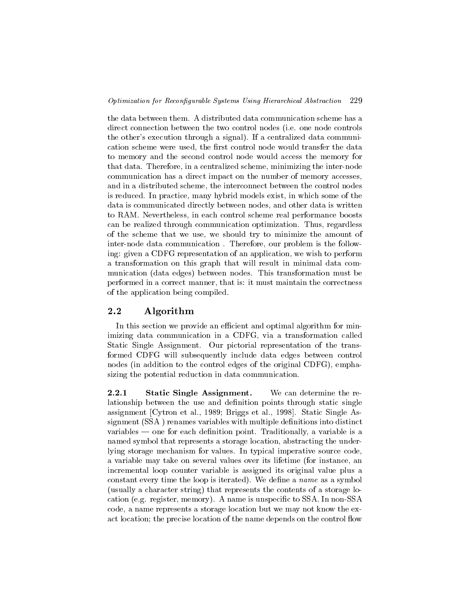the data between them A distributed data communication scheme has a direct connection between the two control nodes (i.e. one node controls the others execution through a signal If a centralized data communication scheme were used, the first control node would transfer the data to memory and the second control node would access the memory for that data Therefore in a centralized scheme minimizing the inter-node communication has a direct impact on the number of memory accesses and in a distributed scheme, the interconnect between the control nodes is reduced. In practice, many hybrid models exist, in which some of the data is communicated directly between nodes, and other data is written to RAM. Nevertheless, in each control scheme real performance boosts can be realized through communication optimization. Thus, regardless of the scheme that we use, we should try to minimize the amount of inter-node data communication Therefore our problem is the following: given a CDFG representation of an application, we wish to perform a transformation on this graph that will result in minimal data communication data edges between nodes This transformation must be performed in a correct manner, that is: it must maintain the correctness of the application being compiled

# Algorithm

In this section we provide an efficient and optimal algorithm for minimizing data communication in a CDFG, via a transformation called Static Single Assignment. Our pictorial representation of the transformed CDFG will subsequently include data edges between control nodes addition to the control emphasizing the potential reduction in data communication

2.2.1 **Static Single Assignment.** We can determine the relationship between the use and definition points through static single assignment [Cytron et al., 1989; Briggs et al., 1998]. Static Single Assignment  $\alpha$  , and a rename in the strategic multiple denitions into distinct multiple density.  $variable$  one for each definition point. Traditionally, a variable is a named symbol that represents a storage location abstracting the underlying storage mechanism for values. In typical imperative source code, a variable may take on several values over its lifetime (for instance, an incremental loop counter variable is assigned its original value plus a commute the loop time the loop is iterated in the density in the symbol  $\alpha$  and  $\beta$  as a symbol  $\alpha$  $\mathbf{u}$ cation **i** substitution is under the memory of the state of the state of the state of the state of the state of the state of the state of the state of the state of the state of the state of the state of the state of the st code, a name represents a storage location but we may not know the exact location; the precise location of the name depends on the control flow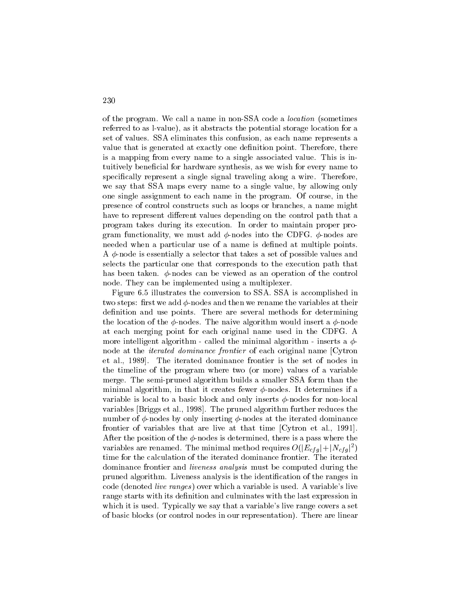of the program We call a name in non-SSA code a location sometimes referred to as l-value as it abstracts the potential storage location for a set of values. SSA eliminates this confusion, as each name represents a value that is generated at exactly one definition point. Therefore, there is a mapping from every name to a single associated value. This is intuitively beneficial for hardware synthesis, as we wish for every name to specifically represent a single signal traveling along a wire. Therefore, we say that SSA maps every name to a single value, by allowing only one single assignment to each name in the program. Of course, in the presence of control constructs such as loops or branches, a name might have to represent different values depending on the control path that a program takes during its execution In order to maintain proper pro- $\alpha$ -nodes into the contract we can also the contract  $\alpha$  -contract  $\alpha$  -contracts the  $\alpha$ needed when a particular use of a name is defined at multiple points. a - possible is the takes and possible values as set of possible values and the values and the value of  $\sim$ selects the particular one that corresponds to the execution path that has been taken - nodes can be viewed as an between - nodes can be viewed as an operation of the control of the node. They can be implemented using a multiplexer.

Figure 6.5 illustrates the conversion to SSA. SSA is accomplished in two steps rst we rename then we rename then we rename the variables at the variables at the variables at the v definition and use points. There are several methods for determining the location of the -nodes The naive algorithm would insert a -node at each merging point for each original name used in the CDFG A more intelligent algorithm - called the minimum algorithm - minimal algorithm -  $\tau$ node at the *iterated dominance frontier* of each original name Cytron et al., 1989. The iterated dominance frontier is the set of nodes in the timeline of the program where two  $\mathcal{N}$  values of a values of a values of a values of a values of a values of a values of a values of a values of a values of a values of a values of a values of a values of a values merge The semi-pruned algorithm builds a smaller SSA form than the minimal algorithm in the it creates fewer  $\tau$  and  $\tau$  are  $\tau$  and  $\tau$  are  $\tau$  and  $\tau$  are  $\tau$ variable is local to a basic block and only inserts - non-basic block and only inserts - non-basic block and o variables [Briggs et al., 1998]. The pruned algorithm further reduces the number of - nodes by only inserting  $\gamma$  at the iterated dominance dominance of the iterated dominance of the i frontier of variables that are live at that time  $\alpha$  Cytron et al., 1991. After the position of the -nodes is determined there is a pass where the variables are renamed. The minimal method requires  $O(|E_{cf\,q}|+|N_{cf\,q}|^2)$ time for the calculation of the iterated dominance frontier. The iterated dominance frontier and liveness analysis must be computed during the pruned algorithm. Liveness analysis is the identification of the ranges in code , codes is a vire ranges , crisis liberales lives and an over which is used A variables lives is used A v range starts with its definition and culminates with the last expression in which it is used. Typically we say that a variable's live range covers a set of basic blocks in our representation  $\mathbf{F}$  or control nodes in our representation  $\mathbf{F}$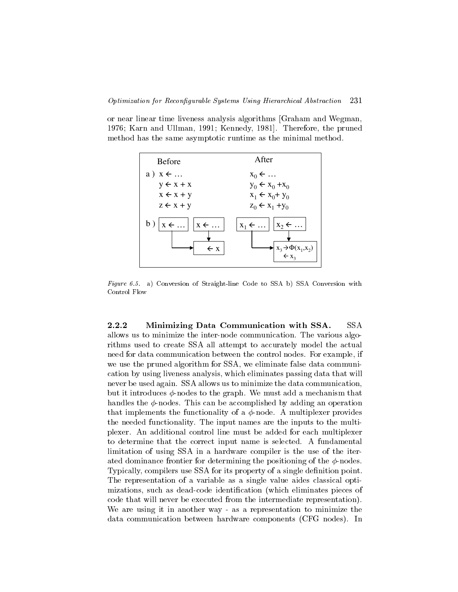or near linear time liveness analysis algorithms Graham and Wegman 1976; Karn and Ullman, 1991; Kennedy, 1981. Therefore, the pruned method has the same asymptotic runtime as the minimal method



Figure a Conversion of Straight-line Code to SSA b SSA Conversion with Control Flow

 $2.2.2$ Minimizing Data Communication with SSA. **SSA** allows us to minimize the inter-communication The various algorithms used to create SSA all attempt to accurately model the actual need for data communication between the control nodes. For example, if we use the pruned algorithm for SSA, we eliminate false data communication by using liveness analysis, which eliminates passing data that will never be used again. SSA allows us to minimize the data communication, but it introduces -nodes to the graph We must add a mechanism that has described by and discontinuous can be accomplished by an operation by an operation  $\mathcal{L}$ that implements the functionality of a -node A multiplexer provides the needed functionality. The input names are the inputs to the multiplexer An additional control line must be added for each multiplexer to determine that the correct input name is selected. A fundamental limitation of using SSA in a hardware compiler is the use of the iterated dominance frontier for determining the positioning of the -nodes Typically, compilers use SSA for its property of a single definition point. The representation of a variable as a single value aides classical optimizations such as dead-dead-distribution in the code in the code identication of  $\mu$  eliminates of  $\mu$ code that will never be executed from the intermediate representation  $\mathcal{M}$  is a representation to minimize the minimized the minimized the minimized theory of  $\mathcal{M}$ data communication between hardware components  $\mathbf{C} = \mathbf{C} \mathbf{C} \mathbf{C} \mathbf{C} \mathbf{C}$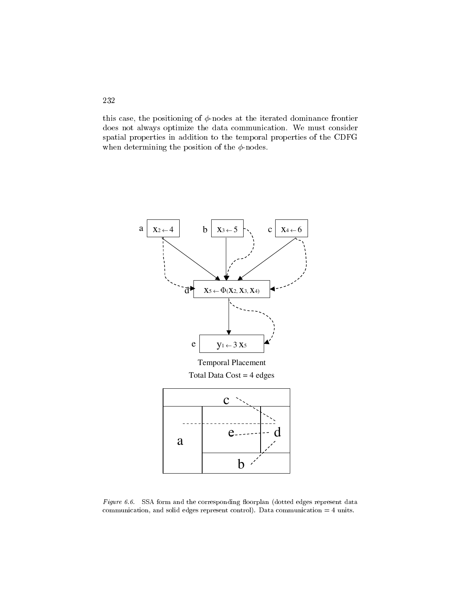this case the positioning of -nodes at the iterated dominance frontier does not always optimize the data communication. We must consider spatial properties in addition to the temporal properties of the CDFG when determining the position of the position of the position of the position of the second position of the second position of the second position of the second position of the second position of the second position of the



Figure 6.6. SSA form and the corresponding floorplan (dotted edges represent data communication, and solid edges represent control). Data communication  $= 4$  units.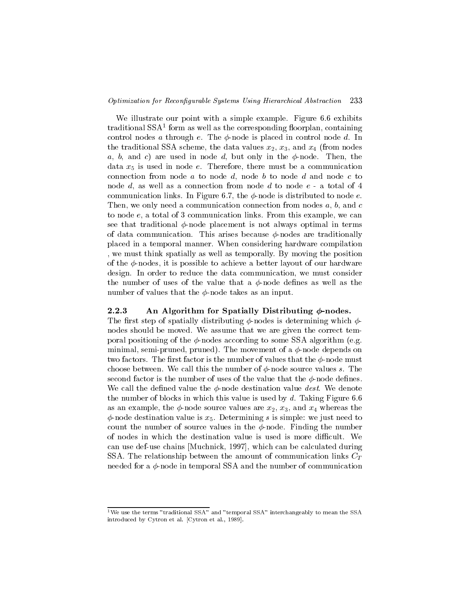We illustrate our point with a simple example. Figure  $6.6$  exhibits  $\iota$ raditional SSA $^{\circ}$  form as well as the corresponding hoorplan, containing control at the anti-order of The -  $\mu$  at the  $\mu$  -field in control at the -  $\mu$  -  $\mu$ the traditional SSA scheme the data values  $\mathbf{z}$  and  $\mathbf{z}$  and  $\mathbf{z}$  and  $\mathbf{z}$ and contract in the contract only in the state  $\alpha$  are used the contract on the data  $x_5$  is used in node e. Therefore, there must be a communication connection from node  $a$  to node  $d$ , node  $b$  to node  $d$  and node  $c$  to node das well as a connection from node to node to node e - total of to node e - total of to node e - total of  $\mathbf{r}$  is distributed to node is distributed to node experimental to node experimental to node experimental to node experimental to node experimental to node experimental to node experimental to node experimental to nod Then, we only need a communication connection from nodes  $a, b$ , and  $c$ to node  $e$ , a total of 3 communication links. From this example, we can see that traditional placement is not always optimal in terms of  $\sim$ of data communication This arises because  $\mathbf{I}$ placed in a temporal manner When considering hardware compilation , we must think spatially as well as temporally. By moving the position of the possible to achieve a better layout of our hardware and the state and the contract of our hardware of o design. In order to reduce the data communication, we must consider the number of the value that the value that a position of the second and well as the second number of values that the - node takes as an input that the - node takes as an input the - node takes as an in

### 2.2.3 An Algorithm for Spatially Distributing  $\phi$ -nodes.

The rst step of spatially distributing  $\mathbf{r}$  and  $\mathbf{r}$  and  $\mathbf{r}$  and  $\mathbf{r}$  and  $\mathbf{r}$  and  $\mathbf{r}$  and  $\mathbf{r}$  and  $\mathbf{r}$  and  $\mathbf{r}$  and  $\mathbf{r}$  and  $\mathbf{r}$  and  $\mathbf{r}$  and  $\mathbf{r}$  and  $\mathbf{r}$  and nodes should be moved. We assume that we are given the correct temporal positioning to the position method in the some SSA algorithm (1990) minimal semi-pruned pruned The movement of a -node depends on two factors The factors The rate of the compact that the computer that  $\gamma$  factors the answer choose between We call this this the number of the  $\gamma$  -form to the source values s Theory second factor is the number of uses of the value that the -node denes We call the dened value the -node destination value dest We denote the number of blocks in which this value is used by  $d$ . Taking Figure 6.6 as an example the - node source values are x-whereas the - node source values are x-whereas the - node of the - $\tau$  -simple destination value is simple we just need to simple we we just need to a simple we just need to a simple we just  $\tau$ count the number of source values in the -node Finding the number of nodes in which the destination value is used is more difficult. We  $\mathbf u$ se chains Muchnick which can be calculated during  $\mathbf u$ SSA. The relationship between the amount of communication links  $C_T$ need for a - node in temporal SSA and the number of communication of communication  $\sim$ 

<sup>&</sup>lt;sup>1</sup>We use the terms "traditional SSA" and "temporal SSA" interchangeably to mean the SSA introduced by Cytron et al Cytron et al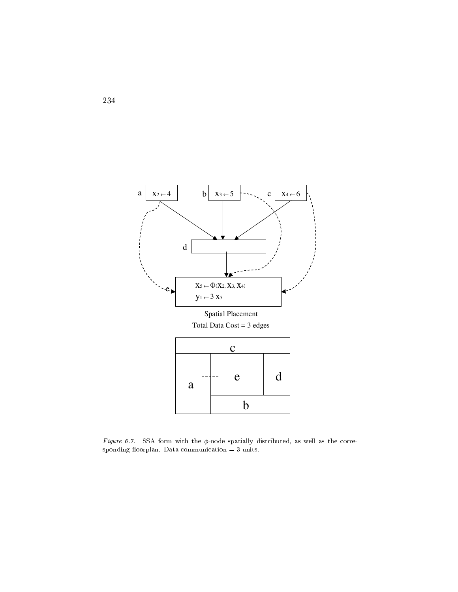

Figure SSA form with the -node spatially distributed as well as the corresponding floorplan. Data communication  $= 3$  units.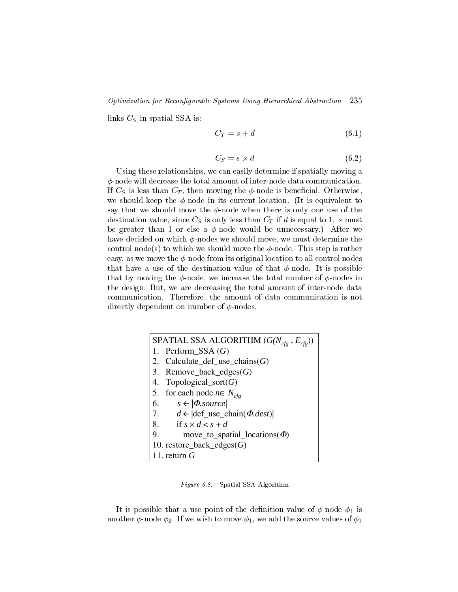Optimization for Reconfigurable Systems Using Hierarchical Abstraction 235

links CS in spatial SSA is spatial SSA in SSA is spatial SSA in SSA in SSA in SSA in SSA in SSA in SSA in SSA

$$
C_T = s + d \tag{6.1}
$$

$$
C_S = s \times d \tag{6.2}
$$

Using these relationships, we can easily determine if spatially moving a -node will decrease the total amount of inter-node data communication If CS is less than CT then moving the -node is benecial Otherwise we should keep the - possessed in its continues to the - production it is equivalent to say that we should move the -node when there is only one use of the destination value since  $\alpha$  is only less than  $C$  is equal to  $\alpha$  is equal to  $\alpha$  must be defined to  $\alpha$ ready than the contract we use a second be under we are under the unit of the unit of the unit of the unit of t have decided on which -nodes we should move we must determine the control and  $\alpha$  , to modern move the step is rather  $\phi$  and the - and - and - and - and - and - and - and easy as we move the -node from its original location to all control nodes that the destination of the destination value of the destination of the possible  $\sim$ that by moving the -node we increase the total number of -nodes in the design But we are decreasing the total amount of inter-node data communication. Therefore, the amount of data communication is not direction and another on number of a position of the second contract of the second contract of the second contract of the second contract of the second contract of the second contract of the second contract of the second c

| SPATIAL SSA ALGORITHM $(G(N_{cfg}, E_{cfg}))$     |  |  |
|---------------------------------------------------|--|--|
| 1. Perform_SSA $(G)$                              |  |  |
| 2. Calculate_def_use_chains $(G)$                 |  |  |
| 3. Remove_back_edges $(G)$                        |  |  |
| 4. Topological_sort $(G)$                         |  |  |
| 5. for each node $n \in N_{cfg}$                  |  |  |
| $s \leftarrow  \Phi \text{source} $<br>6.         |  |  |
| $d \leftarrow  def\_use\_chain(\Phi.dest) $<br>7. |  |  |
| 8. if $s \times d < s + d$                        |  |  |
| 9.<br>move_to_spatial_locations( $\Phi$ )         |  |  |
| 10. restore_back_edges $(G)$                      |  |  |
| 11. return $G$                                    |  |  |

Figure 6.8. Spatial SSA Algorithm

It is possible that a use point of the denition value of -node is and the source  $\mathcal{I}_A$  and  $\mathcal{I}_A$  is we added to move to move the source values of  $\mathcal{I}_A$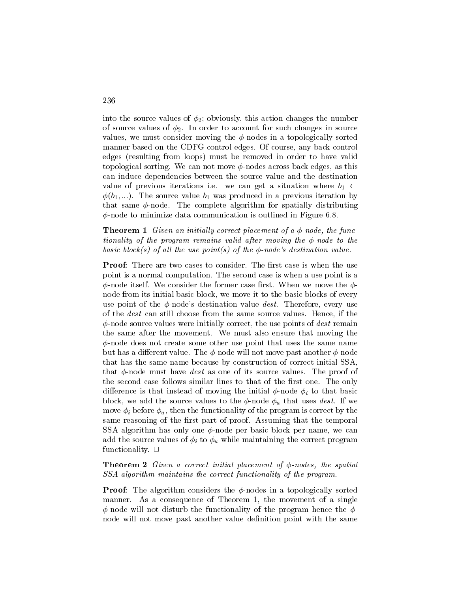into the source values of  $\phi_2$ ; obviously, this action changes the number of source values of  $\phi_2$ . In order to account for such changes in source  $\alpha$  and  $\alpha$  in a topologically some  $\alpha$  the  $\alpha$  the solution of the  $\alpha$  topologically sorted in a topological lying  $\alpha$ manner based on the CDFG control edges. Of course, any back control edges in direction of the removed in order to the removed in order to have valued the contract of the contract topological sorting We can not move -nodes across back edges as this can induce dependencies between the source value and the destination value of previous iterations i.e. we can get a situation where  $b_1 \leftarrow$  b --- The source value b was produced in <sup>a</sup> previous iteration by that same - position - and the complete algorithm for spatially distributing  $\sim$ -node to minimize data communication is outlined in Figure

# $\blacksquare$  Theorem  $\blacksquare$  Given and the theorem of the functional correct place the function of  $\blacksquare$ tionality of the program remains valid after moving the  $\phi$ -node to the of the statistics of the user points-  $\mathbf{p}$  and  $\mathbf{p}$  the statistic control of the nodes of the nodes of

**Proof:** There are two cases to consider. The first case is when the use point is a normal computation. The second case is when a use point is a -node itself We consider the former case rst When we move the node from its initial basic block we move it to the basic blocks of every use point of the -nodes destination value dest Therefore every use of the *dest* can still choose from the same source values. Hence, if the -node source values were initially correct the use points of dest remain the same after the movement. We must also ensure that moving the -node does not create some other use point that uses the same name not has a dierent van die value The South Company and the second past and the second past and the second part that has the same name because by construction of correct initial SSA that a construction of its source values of its source values the proof of its source  $\mathcal{L}_{\mathcal{A}}$ the second case follows similar lines to that of the first one. The only diese is that is the interesting the initial  $\alpha$  that is the initial  $\alpha$  is that is that basic initial  $\alpha$ belock we add that the source values to the  $\tau$  that  $\tau$   $y$   $y$  then we are uses to the move in the functionality of the functionality of the program is correct by the program is correct by the program is correct by the program is correct by the program is correct by the program is correct by the program is same reasoning of the first part of proof. Assuming that the temporal SSA algorithm has only one -node per basic block per name we can add the source values of  $y_{\ell}$  to  $y_{\ell}$  while maintaining the correct programs functionality.  $\Box$ 

# $\blacksquare$  Theorem  $\blacksquare$  Given a correct initial placement of  $\psi$  included in a spatial  $\blacksquare$ SSA algorithm maintains the correct functionality of the program

Proof The algorithm considers the -nodes in a topologically sorted manner. As a consequence of Theorem 1, the movement of a single  $\tau$  -code will not disturb the functionality of the program hence the  $\tau$ node will not move past another value definition point with the same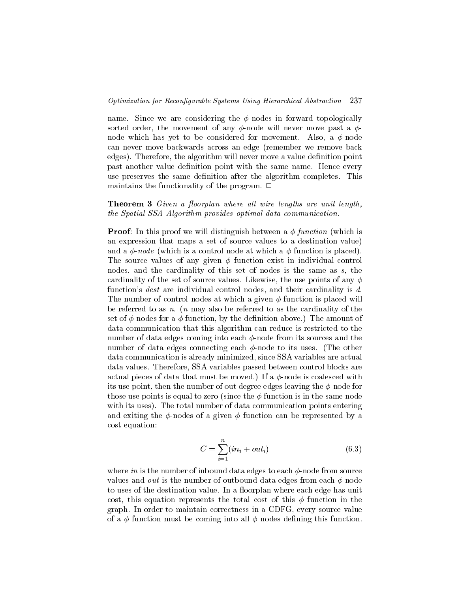name Since we are considering the -nodes in forward topologically sorted order the movement of any -node will never move past a node which has yet to be considered for movement Also a -node can never move backwards across an edge (remember we remove back edges , the algorithm will never more than the algorithm will never movement the points of the contract of the past another value definition point with the same name. Hence every use preserves the same definition after the algorithm completes. This maintains the functionality of the program.  $\Box$ 

Theorem - Given a oorplan where al l wire lengths are unit length the Spatial SSA Algorithm provides optimal data communication

**Proof:** In this proof we will distinguish between a  $\phi$  function (which is an expression that maps a set of source values to a destination value and a -model node at which is a control node at which a function is a function is placed at which a function is The source values of any given  $\phi$  function exist in individual control nodes, and the cardinality of this set of nodes is the same as  $s$ , the cardinality of the set of source values. Likewise, the use points of any  $\phi$ function's *dest* are individual control nodes, and their cardinality is  $d$ . The number of control nodes at which a given  $\phi$  function is placed will be referred to as n.  $(n \text{ may also be referred to as the cardinality of the})$ set of -nodes for a function by the denition above The amount of data communication that this algorithm can reduce is restricted to the number of data engels coming into each  $\tau$  into the from its sources and the sources and the number of data edges connecting each  $\mathbf{r}$ data communication is already minimized, since SSA variables are actual data values Therefore SSA variables passed between control blocks are actual pieces of data that must be moved with be moved with be moved with a -moved with a -moved with a -moved its use point then the number of out degree edges leaving the -node for those use points is equal to zero (since the  $\phi$  function is in the same node with its uses  $\mu$  and data communication points entering points entering  $\rho$ and exiting the -nodes of a given function can be represented by a cost equation

$$
C = \sum_{i=1}^{n} (in_i + out_i)
$$
\n
$$
(6.3)
$$

where in is the number of inbound data energy to each  $\mathbf{f}$ values and outis the number of outbound data edges from each -node to uses of the destination value. In a floorplan where each edge has unit cost, this equation represents the total cost of this  $\phi$  function in the graph. In order to maintain correctness in a CDFG, every source value of a  $\phi$  function must be coming into all  $\phi$  nodes defining this function.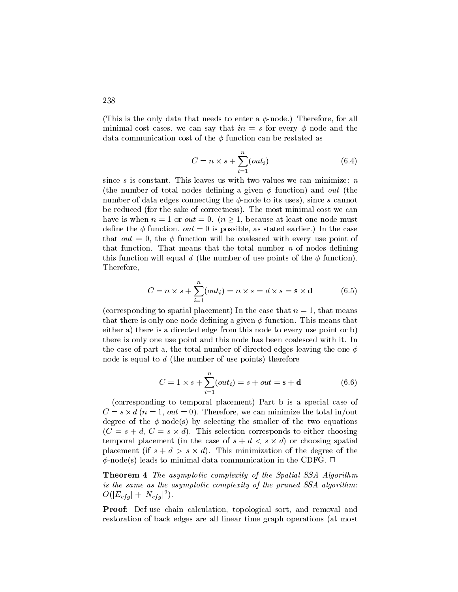This is the only data that needs to enter a -model of all  $\alpha$  -model of all  $\alpha$  -model of all  $\alpha$ minimal cost cases, we can say that  $in = s$  for every  $\phi$  node and the data communication cost of the  $\phi$  function can be restated as

$$
C = n \times s + \sum_{i=1}^{n} (out_i)
$$
 (6.4)

since  $s$  is constant. This leaves us with two values we can minimize:  $n$  $\tau$  . It is not to the nodes dening a given  $\tau$  and  $\tau$  and  $\tau$  and  $\tau$  and  $\tau$ number of data edges connecting the since s connection  $\mathbf{u}$ be reduced  $\mathfrak{f}$  and control the same cost minimal cost we can control the most we can control the most we have is when  $n = 1$  or  $out = 0$ . ( $n \ge 1$ , because at least one node must dene the function out is possible as stated earlier as stated earlier as stated earlier as stated earlier as s that *out* = 0, the  $\phi$  function will be coalesced with every use point of that function. That means that the total number  $n$  of nodes defining this function will equal d (the number of use points of the  $\phi$  function). Therefore

$$
C = n \times s + \sum_{i=1}^{n} (out_i) = n \times s = d \times s = \mathbf{s} \times \mathbf{d}
$$
 (6.5)

 corresponding to spatial placement In the case that n that means that there is only one node defining a given  $\phi$  function. This means that either and there is a directed edge from this node to every use point or by there is only one use point and this node has been coalesced with it In the case of part a, the total number of directed edges leaving the one  $\phi$ node is equal to discusse the number of use points of use points of use points of use points of use points of

$$
C = 1 \times s + \sum_{i=1}^{n} (out_i) = s + out = s + d \tag{6.6}
$$

 corresponding to temporal placement Part b is a special case of  $C = s \times d$  ( $n = 1$ ,  $out = 0$ ). Therefore, we can minimize the total in/out  $\mathbf{u}$  $(C = s + d, C = s \times d)$ . This selection corresponds to either choosing temporal placement (in the case of  $s + d \leq s \times d$ ) or choosing spatial placement (if  $s + d > s \times d$ ). This minimization of the degree of the -node s leads to minimal data communication in the CDFG

Theorem The asymptotic complexity ofthe Spatial SSA Algorithm is the same as the asymptotic complexity of the pruned SSA algorithm  $O(|E_{cf q}| + |N_{cf q}|^2).$ 

Proof Def-use chain calculation topological sort and removal and restoration of back edges are all linear time graph operations (at most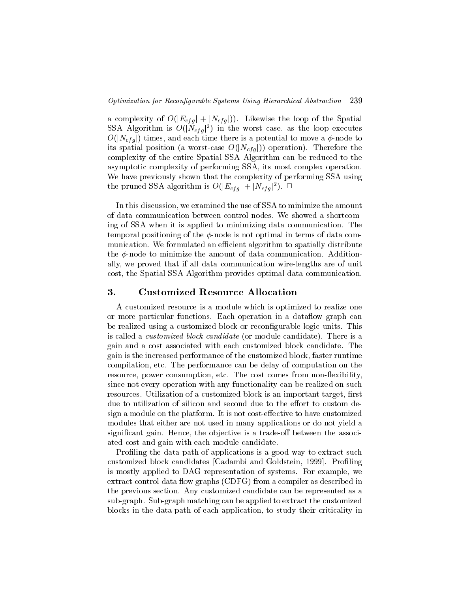a complexity of  $O(|E_{cf q}| + |N_{cf q}|))$ . Likewise the loop of the Spatial SSA Algorithm is  $O(|N_{cf q}|^2)$  in the worst case, as the loop executes  $O(|N_{cf q}|)$  times, and each time there is a potential to move a  $\phi$ -node to its spatial position (a worst-case  $O(|N_{cf q}|)$ ) operation). Therefore the complexity of the entire Spatial SSA Algorithm can be reduced to the asymptotic complexity of performing SSA its most complex operation We have previously shown that the complexity of performing SSA using the pruned SSA algorithm is  $O(|E_{cf q}| + |N_{cf q}|^2)$ .  $\Box$ 

In this discussion, we examined the use of SSA to minimize the amount of data communication between control nodes We showed a shortcoming of SSA when it is applied to minimizing data communication The temporal positioning of the -node is not optimal in terms of data communication. We formulated an efficient algorithm to spatially distribute the -node to minimize the amount of data communication Additionally we proved that if all data communications with a complex with the unit. cost, the Spatial SSA Algorithm provides optimal data communication.

# Customized Resource Allocation

A customized resource is a module which is optimized to realize one or more particular functions. Each operation in a dataflow graph can be realized using a customized block or reconfigurable logic units. This is called a customized block candidate  $\mathbf{I}$ gain and a cost associated with each customized block candidate The gain is the increased performance of the customized block faster runtime compilation, etc. The performance can be delay of computation on the resource power consumption etc The cost comes from non-exibility since not every operation with any functionality can be realized on such resources. Utilization of a customized block is an important target, first due to utilization of silicon and second due to the effort to custom design a module on the platform It is not cost-eective to have customized modules that either are not used in many applications or do not yield a signicant gain Hence the ob jective is a trade-o between the associated cost and gain with each module candidate

Profiling the data path of applications is a good way to extract such customized block candidates [Cadambi and Goldstein, 1999]. Profiling is mostly applied to DAG representation of systems. For example, we extract control data own graphs  $\mathbb{R}^n$  from a compiler as described in  $\mathbb{R}^n$ the previous section. Any customized candidate can be represented as a sub-graph Sub-graph matching can be applied to extract the customized blocks in the data path of each application to study their criticality in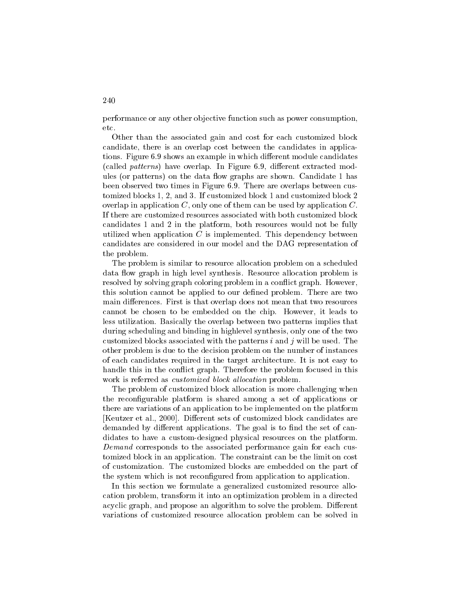performance or any other ob jective function such as power consumption etc

Other than the associated gain and cost for each customized block candidate, there is an overlap cost between the candidates in applications. Figure 6.9 shows an example in which different module candidates called patterns have overlap In Figure dierent extracted modules or patterns on the data ow graphs are shown Candidate has been observed two times in Figure 6.9. There are overlaps between customized blocks  $1, 2$ , and  $3$ . If customized block  $1$  and customized block  $2$ overlap in application  $C$ , only one of them can be used by application  $C$ . If there are customized resources associated with both customized block candidates 1 and 2 in the platform, both resources would not be fully utilized when application  $C$  is implemented. This dependency between candidates are considered in our model and the DAG representation of the problem

The problem is similar to resource allocation problem on a scheduled data flow graph in high level synthesis. Resource allocation problem is resolved by solving graph coloring problem in a conflict graph. However, this solution cannot be applied to our defined problem. There are two main differences. First is that overlap does not mean that two resources cannot be chosen to be embedded on the chip. However, it leads to less utilization. Basically the overlap between two patterns implies that during scheduling and binding in highlevel synthesis only one of the two customized blocks associated with the patterns  $i$  and  $j$  will be used. The other problem is due to the decision problem on the number of instances of each candidates required in the target architecture It is not easy to handle this in the conflict graph. Therefore the problem focused in this work is referred as *customized block allocation* problem.

The problem of customized block allocation is more challenging when the reconfigurable platform is shared among a set of applications or there are variations of an application to be implemented on the platform [Keutzer et al., 2000]. Different sets of customized block candidates are demanded by different applications. The goal is to find the set of candidates to have a custom-designed physical resources on the platform Demand corresponds to the associated performance gain for each customized block in an application. The constraint can be the limit on cost of customization The customized blocks are embedded on the part of the system which is not reconfigured from application to application.

In this section we formulate a generalized customized resource allocation problem, transform it into an optimization problem in a directed acyclic graph, and propose an algorithm to solve the problem. Different variations of customized resource allocation problem can be solved in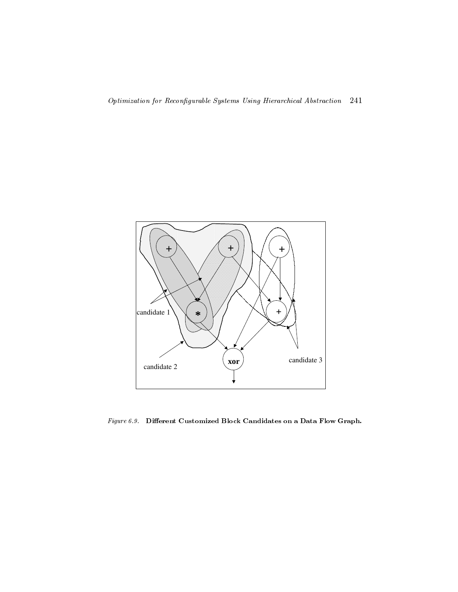

Figure Di-erent Customized Block Candidates on a Data Flow Graph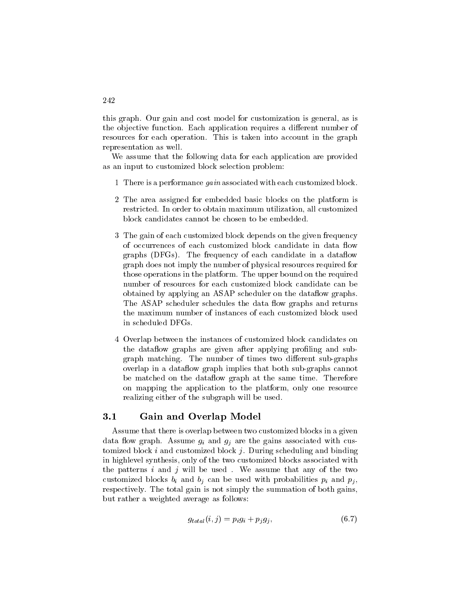this graph. Our gain and cost model for customization is general, as is the objective function. Each application requires a different number of resources for each operation. This is taken into account in the graph representation as well

We assume that the following data for each application are provided as an input to customized block selection problem

- 1 There is a performance *gain* associated with each customized block.
- The area assigned for embedded basic blocks on the platform is restricted. In order to obtain maximum utilization, all customized block candidates cannot be chosen to be embedded
- The gain of each customized block depends on the given frequency of occurrences of each customized block candidate in data flow  $\alpha$  is frequency of each candidate in a data of each candidate in a data of the frequency of  $\alpha$ graph does not imply the number of physical resources required for those operations in the platform. The upper bound on the required number of resources for each customized block candidate can be obtained by applying an ASAP scheduler on the dataflow graphs. The ASAP scheduler schedules the data flow graphs and returns the maximum number of instances of each customized block used in scheduled DFGs
- Overlap between the instances of customized block candidates on the dataflow graphs are given after applying profiling and subgraph matching The number of times two dierent sub-graphs overlap in a data overlappe implies that both sub-sub-sub-sub-sub-sub-subbe matched on the dataflow graph at the same time. Therefore on mapping the application to the platform, only one resource realizing either of the subgraph will be used

#### $3.1$ Gain and Overlap Model

Assume that there is overlap between two customized blocks in a given data ow graph Assume gi and gj are the gains associated with customized block i and customized block j. During scheduling and binding in highlevel synthesis, only of the two customized blocks associated with the patterns  $i$  and  $j$  will be used. We assume that any of the two customized blocks bin and big can big can be used with probabilities pictures pig and pig  $\mu$ respectively. The total gain is not simply the summation of both gains, but rather a weighted average as follows

$$
g_{total}(i,j) = p_i g_i + p_j g_j, \qquad (6.7)
$$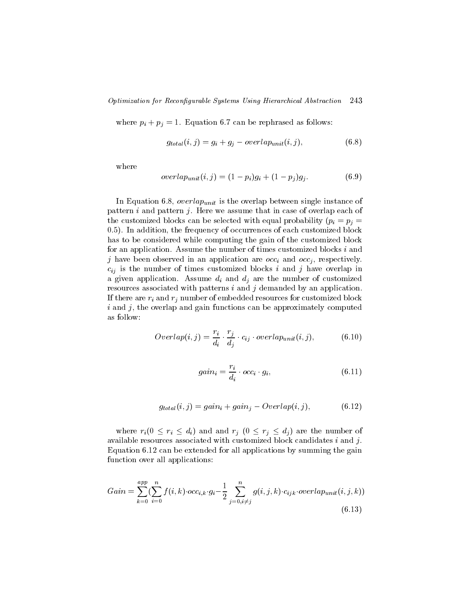where  $\mathbf{r}$  ,  $\mathbf{r}$  ,  $\mathbf{r}$  ,  $\mathbf{r}$  as follows be represented as follows be represented as follows:

$$
g_{total}(i,j) = g_i + g_j - overlap_{unit}(i,j), \qquad (6.8)
$$

where

$$
overlap_{unit}(i,j) = (1 - p_i)g_i + (1 - p_j)g_j.
$$
\n(6.9)

In Equation I are completely in the overlapping instance instance of the overlap between single instance of the pattern  $i$  and pattern  $j$ . Here we assume that in case of overlap each of the customized blocks can be seen blocks can be selected with equal probability  $\{p_i\}$  ,  $\{p_i\}$ - In addition the frequency of occurrences of each customized block has to be considered while computing the gain of the customized block for an application. Assume the number of times customized blocks i and  $\boldsymbol{j}$  have been observed in an application are occurred in a collision of or  $\boldsymbol{j}$  , and occurs  $\boldsymbol{j}$  , and cij is the number of times customized blocks in and just in an operation in an and just in an and just in an o and application application Assume distribution Assume distribution  $\mathcal{A}$ resources associated with patterns  $i$  and  $j$  demanded by an application. If there are rig different productions for the second resources for the customized block  $\alpha$  and  $\alpha$  $i$  and  $j$ , the overlap and gain functions can be approximately computed as follow

$$
Overlap(i, j) = \frac{r_i}{d_i} \cdot \frac{r_j}{d_j} \cdot c_{ij} \cdot overlap_{unit}(i, j), \qquad (6.10)
$$

$$
gain_i = \frac{r_i}{d_i} \cdot occ_i \cdot g_i,
$$
\n(6.11)

 $\cdot$  . . . . .

$$
g_{total}(i,j) = gain_i + gain_j - Overlap(i,j), \qquad (6.12)
$$

where  $r_i(0 \le r_i \le d_i)$  and and  $r_j$   $(0 \le r_j \le d_j)$  are the number of available resources associated with customized block candidates  $i$  and  $j$ . Equation  $6.12$  can be extended for all applications by summing the gain function over all applications

$$
Gain = \sum_{k=0}^{app} (\sum_{i=0}^{n} f(i,k) \cdot occ_{i,k} \cdot g_i - \frac{1}{2} \sum_{j=0, i \neq j}^{n} g(i,j,k) \cdot c_{ijk} \cdot overlap_{unit}(i,j,k))
$$
\n(6.13)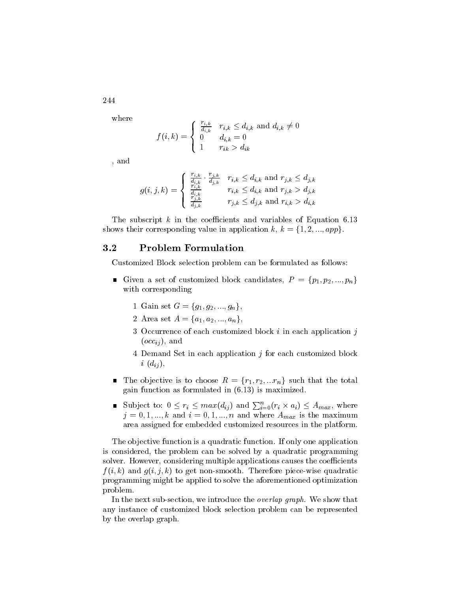where

$$
f(i,k) = \begin{cases} \begin{array}{ll} \frac{r_{i,k}}{d_{i,k}} & r_{i,k} \le d_{i,k} \text{ and } d_{i,k} \neq 0\\ 0 & d_{i,k} = 0\\ 1 & r_{ik} > d_{ik} \end{array} \end{cases}
$$

and

$$
g(i,j,k) = \left\{ \begin{array}{ll} \frac{r_{i,k}}{d_{i,k}} \cdot \frac{r_{j,k}}{d_{j,k}} & r_{i,k} \leq d_{i,k} \, \, \text{and} \, \, r_{j,k} \leq d_{j,k} \\ \frac{r_{i,k}}{d_{i,k}} & r_{i,k} \leq d_{i,k} \, \, \text{and} \, \, r_{j,k} > d_{j,k} \\ \frac{r_{j,k}}{d_{j,k}} & r_{j,k} \leq d_{j,k} \, \, \text{and} \, \, r_{i,k} > d_{i,k} \end{array} \right.
$$

The subscript  $k$  in the coefficients and variables of Equation 6.13 shows their corresponding value in application  $k, k = \{1, 2, ..., app\}.$ 

#### $3.2$ Problem Formulation

Customized Block selection problem can be formulated as follows

- Given a set of customized block candidates,  $P = \{p_1, p_2, ..., p_n\}$ with corresponding
	- 1 Gain set  $G = \{g_1, g_2, ..., g_n\},\$
	- 2 Area set  $A = \{a_1, a_2, ..., a_n\},\$
	- 3 Occurrence of each customized block  $i$  in each application  $j$  $\mathbf{v}$  and  $\mathbf{v}$  and  $\mathbf{v}$  and  $\mathbf{v}$
	- Demand Set in each application j for each customized block i die kalender is a contract of the contract of  $\mathcal{U}$
- The objective is to choose  $R = \{r_1, r_2, ... r_n\}$  such that the total  $\mathbf{f}$
- Subject to:  $0 \le r_i \le max(d_{ij})$  and  $\sum_{i=0}^{n} (r_i \times a_i) \le A_{max}$ , where j is the maximum of  $\mathcal{H}$  and  $\mathcal{H}$  and  $\mathcal{H}$  is the maximum of  $\mathcal{H}$ area assigned for embedded customized resources in the platform

The objective function is a quadratic function. If only one application is considered, the problem can be solved by a quadratic programming solver. However, considering multiple applications causes the coefficients f i k and g i j k to get non-smooth Therefore piece-wise quadratic programming might be applied to solve the aforementioned optimization problem

In the next sub-section we introduce the overlap graph We show that any instance of customized block selection problem can be represented by the overlap graph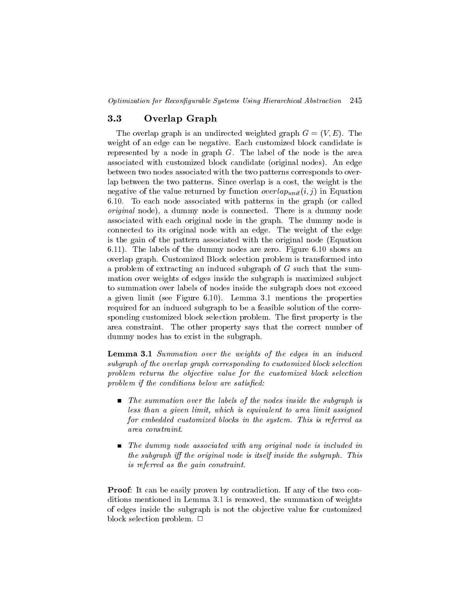Optimization for Reconfigurable Systems Using Hierarchical Abstraction 245

# 3.3 Overlap Graph

The overlap graph is an undirected weighted graph G VE The weight of an edge can be negative. Each customized block candidate is represented by a node in graph  $G$ . The label of the node is the area associated with customized block can define the component  $\alpha$  original nodes  $\alpha$ between two nodes associated with the two patterns corresponds to overlap between the two patterns. Since overlap is a cost, the weight is the negative of the value returned by function over  $\mathbf{r}_i$  and  $\mathbf{r}_i$  in Equation over  $\mathbf{r}_i$ 6.10. To each node associated with patterns in the graph (or called original node a dummy node is connected There is a dummy node associated with each original node in the graph. The dummy node is connected to its original node with an edge. The weight of the edge is the gain of the pattern associated with the original node (Equation The labels of the dummy nodes are zero Figure 2 and  $\alpha$  Figure 2 and  $\alpha$ overlap graph. Customized Block selection problem is transformed into a problem of extracting an induced subgraph of G such that the summation over weights of edges inside the subgraph is maximized subject to summation over labels of nodes inside the subgraph does not exceed a given limit in the properties of the properties of the properties of the properties of the properties of the required for an induced subgraph to be a feasible solution of the corresponding customized block selection problem. The first property is the area constraint. The other property says that the correct number of dummy nodes has to exist in the subgraph

Lemma - Summation over the weights of the edges in an induced subgraph of the overlap graph corresponding to customized block selection problem returns the objective value for the customized block selection problem if the conditions below are satisfied:

- The summation over the labels of the nodes inside the subgraph is less than a given limit, which is equivalent to area limit assigned for embedded customized blocks in the system. This is referred as area constraint
- The dummy node associated with any original node is included in the subgraph iff the original node is itself inside the subgraph. This is referred as the gain constraint

**Proof:** It can be easily proven by contradiction. If any of the two conditions mentioned in Lemma 3.1 is removed, the summation of weights of edges inside the subgraph is not the objective value for customized block selection problem.  $\Box$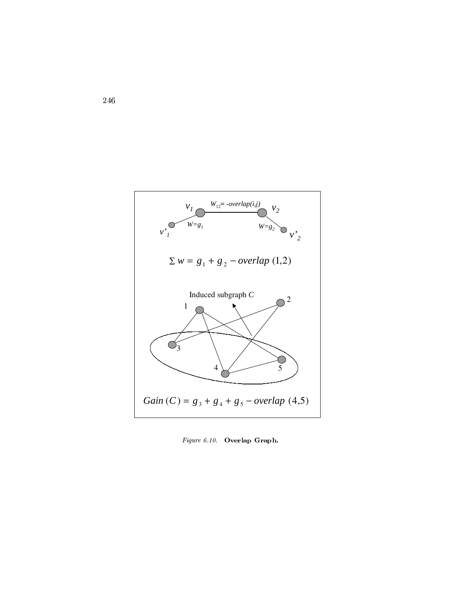

Figure - Overlap Graph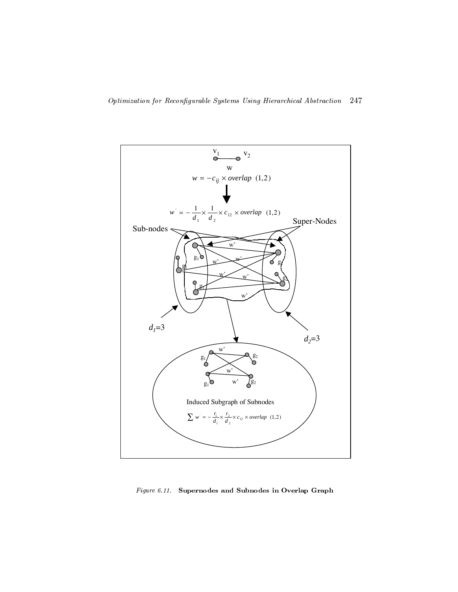

Figure -- Supernodes and Subnodes in Overlap Graph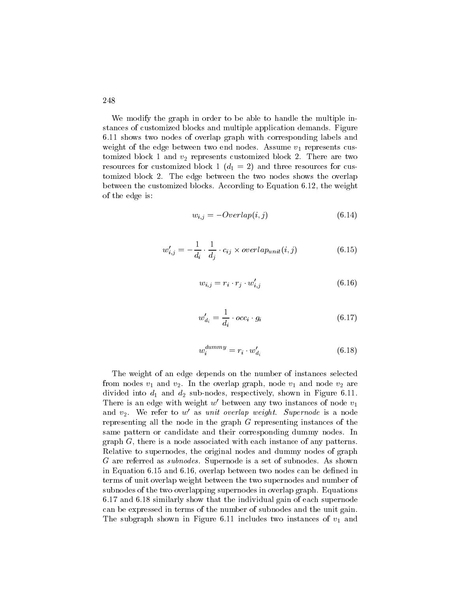We modify the graph in order to be able to handle the multiple instances of customized blocks and multiple application demands Figure 6.11 shows two nodes of overlap graph with corresponding labels and weight of the edge between two end nodes. Assume  $v_1$  represents customized block 1 and  $v_2$  represents customized block 2. There are two  $\sqrt{1}$  d  $\sqrt{1}$ tomized block 2. The edge between the two nodes shows the overlap between the customized blocks. According to Equation 6.12, the weight of the edge is

$$
w_{i,j} = -\text{Overlap}(i,j) \tag{6.14}
$$

$$
w'_{i,j} = -\frac{1}{d_i} \cdot \frac{1}{d_j} \cdot c_{ij} \times overlap_{unit}(i,j)
$$
 (6.15)

$$
w_{i,j} = r_i \cdot r_j \cdot w'_{i,j} \tag{6.16}
$$

$$
w'_{d_i} = \frac{1}{d_i} \cdot occ_i \cdot g_i \tag{6.17}
$$

$$
w_i^{dummy} = r_i \cdot w_{d_i}^{\prime} \tag{6.18}
$$

The weight of an edge depends on the number of instances selected from nodes  $v_1$  and  $v_2$ . In the overlap graph, node  $v_1$  and node  $v_2$  are divided into d and d sub-nodes respectively shown in Figure There is an edge with weight  $w'$  between any two instances of node  $v_1$ and  $v_2$ . We refer to w as unit overlap weight. Supernode is a node representing all the node in the graph  $G$  representing instances of the same pattern or candidate and their corresponding dummy nodes. In graph  $G$ , there is a node associated with each instance of any patterns. Relative to supernodes, the original nodes and dummy nodes of graph G are referred as *subnodes*. Supernode is a set of subnodes. As shown in Equation  $6.15$  and  $6.16$ , overlap between two nodes can be defined in terms of unit overlap weight between the two supernodes and number of subnodes of the two overlapping supernodes in overlap graph. Equations 6.17 and 6.18 similarly show that the individual gain of each supernode can be expressed in terms of the number of subnodes and the unit gain The subgraph shown in Figure 6.11 includes two instances of  $v_1$  and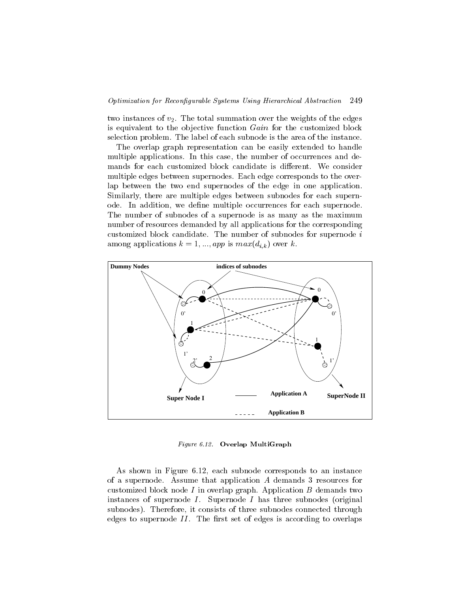#### Optimization for Reconfigurable Systems Using Hierarchical Abstraction 249

two instances of  $v_2$ . The total summation over the weights of the edges is equivalent to the objective function Gain for the customized block selection problem. The label of each subnode is the area of the instance.

The overlap graph representation can be easily extended to handle multiple applications. In this case, the number of occurrences and demands for each customized block candidate is different. We consider multiple edges between supernodes Each edge corresponds to the overlap between the two end supernodes of the edge in one application Similarly, there are multiple edges between subnodes for each supernode. In addition, we define multiple occurrences for each supernode. The number of subnodes of a supernode is as many as the maximum number of resources demanded by all applications for the corresponding customized block candidate. The number of subnodes for supernode  $i$ among applications and is contracting the second stress of the contract of the contract of the contract of the



Figure - Overlap MultiGraph - Overlap MultiGraph - Overlap MultiGraph - Overlap MultiGraph - Overlap MultiGraph

As shown in Figure 6.12, each subnode corresponds to an instance of a supernode. Assume that application  $A$  demands 3 resources for customized block node  $I$  in overlap graph. Application  $B$  demands two instances of supernode  $I$ . Supernode  $I$  has three subnodes (original subsected it consists of the subsected three subsected three subsected through  $\sim$ edges to supernode  $II$ . The first set of edges is according to overlaps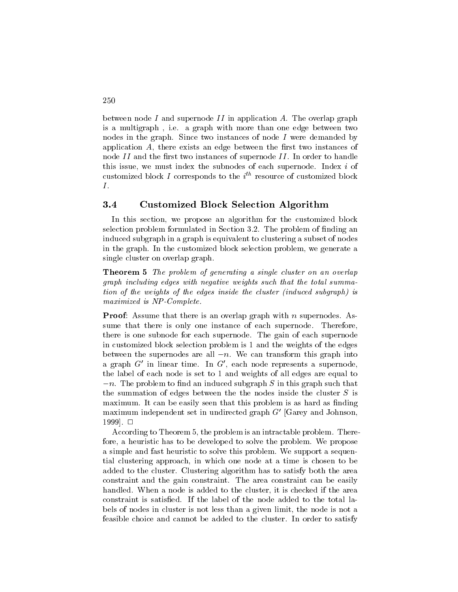between node I and supernode II in application A. The overlap graph is a multigraph, i.e. a graph with more than one edge between two nodes in the graph. Since two instances of node  $I$  were demanded by application  $A$ , there exists an edge between the first two instances of node  $II$  and the first two instances of supernode  $II$ . In order to handle this issue, we must index the subnodes of each supernode. Index  $i$  of customized block  $I$  corresponds to the  $i^{\cdots}$  resource of customized block I

# Customized Block Selection Algorithm

In this section, we propose an algorithm for the customized block selection problem formulated in Section 3.2. The problem of finding an induced subgraph in a graph is equivalent to clustering a subset of nodes in the graph. In the customized block selection problem, we generate a single cluster on overlap graph

Theorem The problem of generating a single cluster on an overlap graph including edges with negative weights such that the total summa tion of the weights of the edges inside the cluster induced subgraph- is  $maximized$  is  $NP$ -Complete.

**Proof:** Assume that there is an overlap graph with n supernodes. Assume that there is only one instance of each supernode. Therefore, there is one subnode for each supernode The gain of each supernode in customized block selection problem is 1 and the weights of the edges between the supernodes are all  $-n$ . We can transform this graph into a graph  $G'$  in linear time. In  $G'$ , each node represents a supernode, the label of each node is set to  $1$  and weights of all edges are equal to  $-n$ . The problem to find an induced subgraph S in this graph such that the summation of edges between the the nodes inside the cluster  $S$  is maximum. It can be easily seen that this problem is as hard as finding maximum independent set in undirected graph  $G'$  [Garey and Johnson,  $1999$ .  $\square$ 

According to Theorem 5, the problem is an intractable problem. Therefore, a heuristic has to be developed to solve the problem. We propose a simple and fast heuristic to solve this problem. We support a sequential clustering approach in which one node at a time is chosen to be added to the cluster. Clustering algorithm has to satisfy both the area constraint and the gain constraint The area constraint can be easily handled. When a node is added to the cluster, it is checked if the area constraint is satisfied. If the label of the node added to the total labels of nodes in cluster is not less than a given limit, the node is not a feasible choice and cannot be added to the cluster. In order to satisfy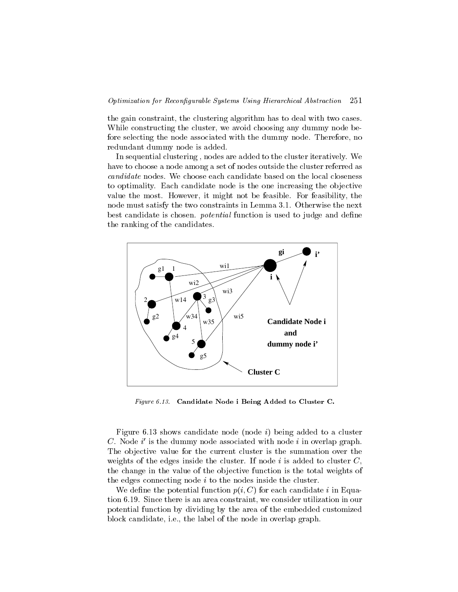the gain constraint, the clustering algorithm has to deal with two cases. While constructing the cluster, we avoid choosing any dummy node before selecting the node associated with the dummy node. Therefore, no redundant dummy node is added

In sequential clustering, nodes are added to the cluster iteratively. We have to choose a node among a set of nodes outside the cluster referred as candidate nodes. We choose each candidate based on the local closeness to optimality. Each candidate node is the one increasing the objective value the most. However, it might not be feasible. For feasibility, the node must satisfy the two constraints in Lemma 3.1. Otherwise the next best candidate is chosen. *potential* function is used to judge and define the ranking of the candidates



Figure - Candidate Node i Being Added to Cluster C

Figure shows candidate node node i being added to a cluster  $C$ . Node  $i$  is the dummy node associated with node  $i$  in overlap graph. The objective value for the current cluster is the summation over the weights of the edges inside the cluster. If node  $i$  is added to cluster  $C$ , the change in the value of the objective function is the total weights of the edges connecting node  $i$  to the nodes inside the cluster.

where the potential function p $\mathcal{N}(t)$  , i.e. the candidate in Equation tion 6.19. Since there is an area constraint, we consider utilization in our potential function by dividing by the area of the embedded customized block candidate, i.e., the label of the node in overlap graph.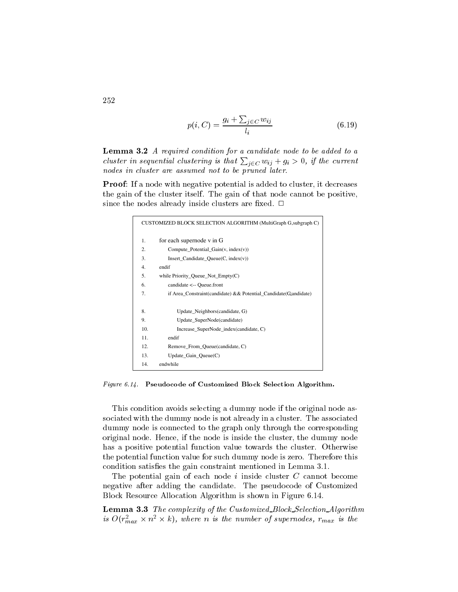$$
p(i, C) = \frac{g_i + \sum_{j \in C} w_{ij}}{l_i}
$$
 (6.19)

Lemma - A required condition for a candidate node to be added to a cluster in sequential clustering is that  $\sum_{j \in C} w_{ij} + g_i > 0$ , if the current nodes in cluster are assumed not to be pruned later.

**Proof**: If a node with negative potential is added to cluster, it decreases the gain of the cluster itself. The gain of that node cannot be positive, since the nodes already inside clusters are fixed.  $\Box$ 

|     | CUSTOMIZED BLOCK SELECTION ALGORITHM (MultiGraph G, subgraph C)  |
|-----|------------------------------------------------------------------|
| 1.  | for each supernode v in G                                        |
| 2.  | $Compute\_Potential\_Gain(v, index(v))$                          |
| 3.  | $Insert\_ Candidate\_Queue(C, index(v))$                         |
| 4.  | endif                                                            |
| 5.  | while $Priority\_Queue\_Not\_Empty(C)$                           |
| 6.  | candidate <-- Queue.front                                        |
| 7.  | if Area_Constraint(candidate) & & Potential_Candidate(Candidate) |
| 8.  | Update_Neighbors(candidate, G)                                   |
| 9.  | Update_SuperNode(candidate)                                      |
| 10. | Increase_SuperNode_index(candidate, C)                           |
| 11. | endif                                                            |
| 12. | Remove_From_Queue(candidate, C)                                  |
| 13. | $Update_Cain_Queue(C)$                                           |
| 14. | endwhile                                                         |

Figure - Pseudocode of Customized Block Selection Algorithm

This condition avoids selecting a dummy node if the original node associated with the dummy node is not already in a cluster. The associated dummy node is connected to the graph only through the corresponding original node. Hence, if the node is inside the cluster, the dummy node has a positive potential function value towards the cluster. Otherwise the potential function value for such dummy node is zero. Therefore this condition satisfies the gain constraint mentioned in Lemma 3.1.

The potential gain of each node  $i$  inside cluster  $C$  cannot become negative after adding the candidate. The pseudocode of Customized Block Resource Allocation Algorithm is shown in Figure

 $\blacksquare$  complexity of the Customized Block Selection Algorithm  $\cup$  the Customized Block Selection Algorithm and  $\blacksquare$ is  $O(r_{max} \times n^2 \times k)$ , where n is the number of supernodes,  $r_{max}$  is the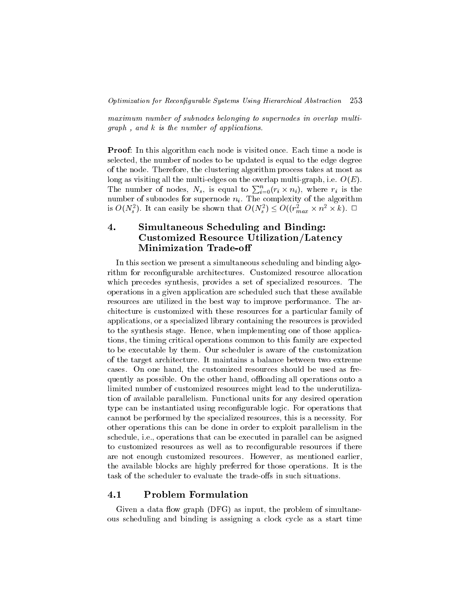maximum number of subnodes belonging to supernodes in overlap multi  $graph$ , and k is the number of applications.

**Proof:** In this algorithm each node is visited once. Each time a node is selected, the number of nodes to be updated is equal to the edge degree of the node. Therefore, the clustering algorithm process takes at most as edges on the multi-multi-service contracts on the multi-service of  $\sim$  (e.g. The number of nodes,  $N_s$ , is equal to  $\sum_{i=0}^{n} (r_i \times n_i)$ , where  $r_i$  is the number of substitution for supernodes  $\{v_i\}$  , which completes  $\{v_j\}$  of the algorithm complexity of the algorithm is  $O(N_s^2)$ . It can easily be shown that  $O(N_s^2) \leq O((r_{max}^2 \times n^2 \times k)$ .  $\Box$ 

### 4. Simultaneous Scheduling and Binding Customized Resource Utilization/Latency Minimization Trade-off

In this section we present a simultaneous scheduling and binding algorithm for reconfigurable architectures. Customized resource allocation which precedes synthesis, provides a set of specialized resources. The operations in a given application are scheduled such that these available resources are utilized in the best way to improve performance. The architecture is customized with these resources for a particular family of applications, or a specialized library containing the resources is provided to the synthesis stage. Hence, when implementing one of those applications, the timing critical operations common to this family are expected to be executable by them. Our scheduler is aware of the customization of the target architecture It maintains a balance between two extreme cases. On one hand, the customized resources should be used as frequently as possible. On the other hand, offloading all operations onto a limited number of customized resources might lead to the underutilization of available parallelism. Functional units for any desired operation type can be instantiated using reconfigurable logic. For operations that cannot be performed by the specialized resources this is a necessity For other operations this can be done in order to exploit parallelism in the schedule, i.e., operations that can be executed in parallel can be asigned to customized resources as well as to reconfigurable resources if there are not enough customized resources. However, as mentioned earlier, the available blocks are highly preferred for those operations It is the

#### $4.1$ Problem Formulation

 $G = \{x_1, x_2, \ldots, x_n\}$  and  $G = \{x_1, x_2, \ldots, x_n\}$  in the problem of simultaneous simultaneous simultaneous simultaneous simultaneous simultaneous simultaneous simultaneous simultaneous simultaneous simultaneous simultaneo ous scheduling and binding is assigning a clock cycle as a start time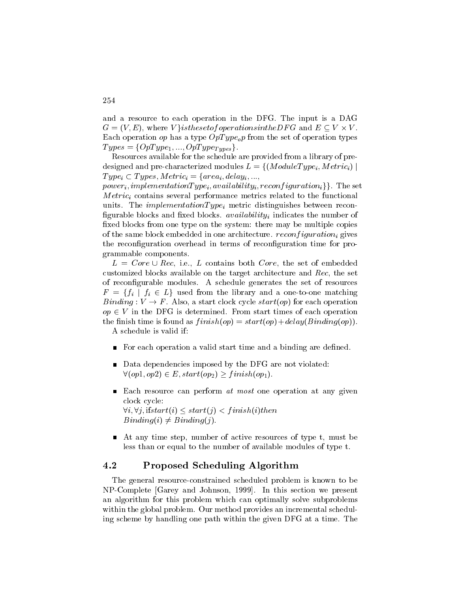and a resource to each operation in the DFG. The input is a DAG  $G = (V, E), \text{ where } V \} is the set of operations in the DFG \text{ and } E \subseteq V \times V.$ Each operation op has a type  $OpType_{o}p$  from the set of operation types  $Types = \{OpType_1, ..., OpType_{Types}\}.$ 

Resources available for the schedule are provided from a library of predesigned and pre-characterized modules  $L = \{(ModuleType_i, Metric_i)$  $Type_i \subset Types, Metric_i = \{area_i, delay_i, ...,$ 

 $power_i, implementationType_i, availability_i, reconfiguration_i\}\}. \ \mathrm{\ The\ set}$  $\mathbf{h}$  etrici contains several performance metrics relations relations relations relations relations relations relations relations relations relations relations relations relations relations relations relations relation units The implementation  $\eta$   $\mu$  is the internal reconstruction reconstruction recon- $\mathcal{L}$ fixed blocks from one type on the system: there may be multiple copies of the same block embedded in one architecture reconfiguration  $\mathbf{u}$  is a set of igurationi gives  $\mathbf{u}$ the reconfiguration overhead in terms of reconfiguration time for programmable components

 $L = Core \cup Rec$ , i.e., L contains both Core, the set of embedded customized blocks available on the target architecture and  $Rec$ , the set of reconfigurable modules. A schedule generates the set of resources  $F = \{f_i \mid f_i \in L\}$  used from the library and a one-to-one matching  $Binding: V \rightarrow F$ . Also, a start clock cycle  $start(op)$  for each operation  $op \in V$  in the DFG is determined. From start times of each operation the nished is found as found as  $\alpha$  in the start  $\alpha$  in the start  $\alpha$  in  $\alpha$  is the start operator operator  $\alpha$ 

A schedule is valid if

- For each operation a valid start time and a binding are defined.
- Data dependencies imposed by the DFG are not violated:  $\forall (op1, op2) \in E, start(op_2) \geq finish(op_1).$
- Each resource can perform at most one operation at any given clock cycle  $\forall i, \forall j$ , ifstart $(i) \leq start(j) < finish(i)$ then  $Binding(i) \neq Binding(j).$
- $\blacksquare$ At any time step, number of active resources of type t, must be less than or equal to the number of available modules of type t

#### $4.2$ Proposed Scheduling Algorithm

The general resource-constrained scheduled problem is known to be NP-Complete Garey and Johnson In this section we present an algorithm for this problem which can optimally solve subproblems within the global problem. Our method provides an incremental scheduling scheme by handling one path within the given DFG at a time. The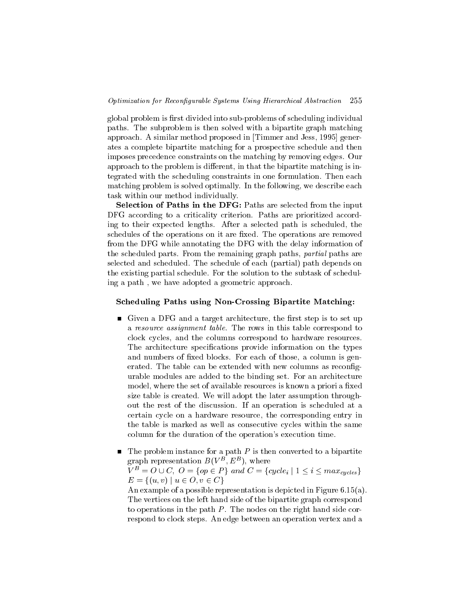global problem is into sub-divided into sub-dividuality individually into sub-dividual contracts. paths The subproblem is then solved with a bipartite graph matching approach. A similar method proposed in  $[T\$ {immer} and Jess, 1995 generates a complete bipartite matching for a prospective schedule and then imposes precedence constraints on the matching by removing edges. Our approach to the problem is different, in that the bipartite matching is integrated with the scheduling constraints in one formulation Then each matching problem is solved optimally. In the following, we describe each task within our method individually

 $S$  belection of Faths in the DFG. I at this are selected from the input DFG according to a criticality criterion. Paths are prioritized according to their expected lengths. After a selected path is scheduled, the schedules of the operations on it are fixed. The operations are removed from the DFG while annotating the DFG with the delay information of the scheduled parts. From the remaining graph paths, *partial* paths are selected and schedule of the schedule of each order  $\alpha$  is the schedule of path depends on the schedule on the the existing partial schedule For the solution to the subtask of scheduling a path, we have adopted a geometric approach.

### Scheduling Paths using NonCrossing Bipartite Matching

Given a DFG and a target architecture, the first step is to set up a *resource assignment table*. The rows in this table correspond to clock cycles, and the columns correspond to hardware resources. The architecture specifications provide information on the types and numbers of fixed blocks. For each of those, a column is generated. The table can be extended with new columns as reconfigurable modules are added to the binding set For an architecture model, where the set of available resources is known a priori a fixed size table is created. We will adopt the later assumption throughout the rest of the discussion. If an operation is scheduled at a certain cycle on a hardware resource, the corresponding entry in the table is marked as well as consecutive cycles within the same column for the duration of the operation's execution time.

 $\blacksquare$ The problem instance for a path  $P$  is then converted to a bipartite graph representation  $B(V^-, E^-)$ , where  $V^B = O \cup C$ ,  $O = \{op \in P\}$  and  $C = \{cycle_i \mid 1 \leq i \leq max_{cycles}\}$  $E = \{(u, v) \mid u \in O, v \in C\}$ An example of a possible representation is depicted in Figure  $6.15(a)$ . The vertices on the left hand side of the bipartite graph correspond to operations in the path  $P$ . The nodes on the right hand side correspond to clock steps. An edge between an operation vertex and a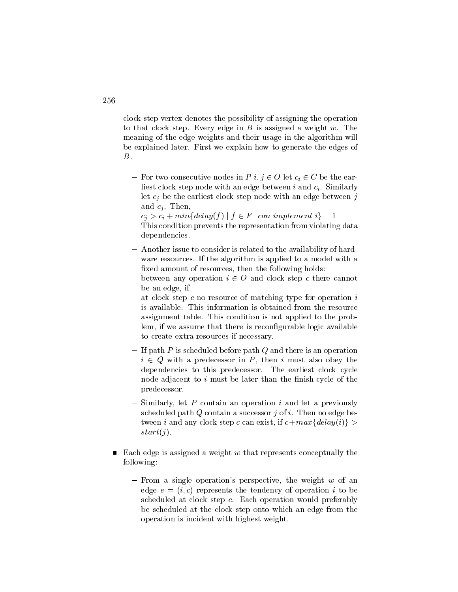clock step vertex denotes the possibility of assigning the operation to that clock step. Every edge in  $B$  is assigned a weight w. The meaning of the edge weights and their usage in the algorithm will be explained later. First we explain how to generate the edges of  $B$ .

- For two consecutive nodes in P  $i, j \in U$  let  $c_i \in U$  be the earliest clock step node with an edge between i and ci Similarly let cj be the earliest clock step node with an edge between <sup>j</sup> and control to the control of the control of the control of the control of the control of the control of the c

 $c_j > c_i + min\{delay(f) | f \in F \text{ can implement } i\} - 1$ This condition prevents the representation from violating data dependencies

 Another issue to consider is related to the availability of hardware resources. If the algorithm is applied to a model with a fixed amount of resources, then the following holds:

between any operation  $i \in U$  and clock step c there cannot be an edge, if

at clock step c no resource of matching type for operation i is available. This information is obtained from the resource assignment table. This condition is not applied to the problem, if we assume that there is reconfigurable logic available to create extra resources if necessary

- If path P is scheduled before path Q and there is an operation  $i \in Q$  with a predecessor in P, then i must also obey the dependencies to this predecessor. The earliest clock cycle node adjacent to  $i$  must be later than the finish cycle of the predecessor
- Similarly let P contained and operation i and let a previously scheduled path  $Q$  contain a successor  $j$  of  $i$ . Then no edge between  $i$  and any clock step  $c$  can exist, if  $c + max\{delay(i)\} > 0$  $start(i)$ .
- Each edge is assigned a weight  $w$  that represents conceptually the  $\blacksquare$ following
	- From a single operations perspective the weight w of an edge en internet to the tendency of operation in the tendency of operation in the tendency of  $\sim$ scheduled at clock step  $c$ . Each operation would preferably be scheduled at the clock step onto which an edge from the operation is incident with highest weight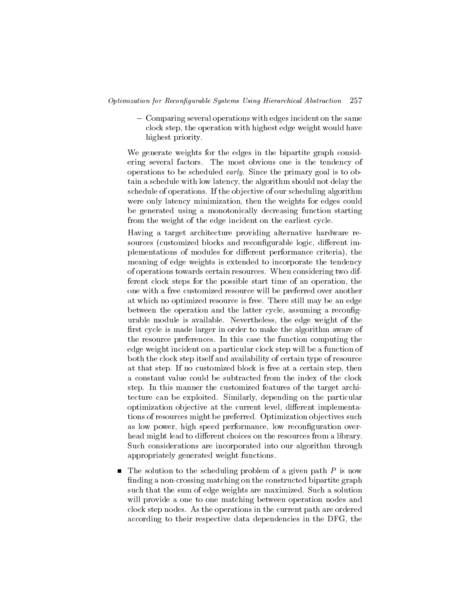Comparing several operations with edges incident on the same clock step, the operation with highest edge weight would have highest priority.

We generate weights for the edges in the bipartite graph considering several factors. The most obvious one is the tendency of operations to be scheduled early Since the primary goal is to obtain a schedule with low latency the algorithm should not delay the schedule of operations. If the objective of our scheduling algorithm were only latency minimization, then the weights for edges could be generated using a monotonically decreasing function starting from the weight of the edge incident on the earliest cycle

Having a target architecture providing alternative hardware resources (customized blocks and reconfigurable logic, different implementations of modules for dierent performance criteria the meaning of edge weights is extended to incorporate the tendency of operations towards certain resources When considering two different clock steps for the possible start time of an operation, the one with a free customized resource will be preferred over another at which no optimized resource is free There still may be an edge between the operation and the latter cycle, assuming a reconfigurable module is available. Nevertheless, the edge weight of the first cycle is made larger in order to make the algorithm aware of the resource preferences In this case the function computing the edge weight incident on a particular clock step will be a function of both the clock step itself and availability of certain type of resource at that step. If no customized block is free at a certain step, then a constant value could be subtracted from the index of the clock step. In this manner the customized features of the target architecture can be exploited. Similarly, depending on the particular optimization objective at the current level, different implementations of resources might be preferred. Optimization objectives such as low power, high speed performance, low reconfiguration overhead might lead to different choices on the resources from a library. Such considerations are incorporated into our algorithm through appropriately generated weight functions

 $\blacksquare$  The solution to the scheduling problem of a given path P is now nding a non-crossing matching on the constructed bipartite graph such that the sum of edge weights are maximized. Such a solution will provide a one to one matching between operation nodes and clock step nodes As the operations in the current path are ordered according to their respective data dependencies in the DFG, the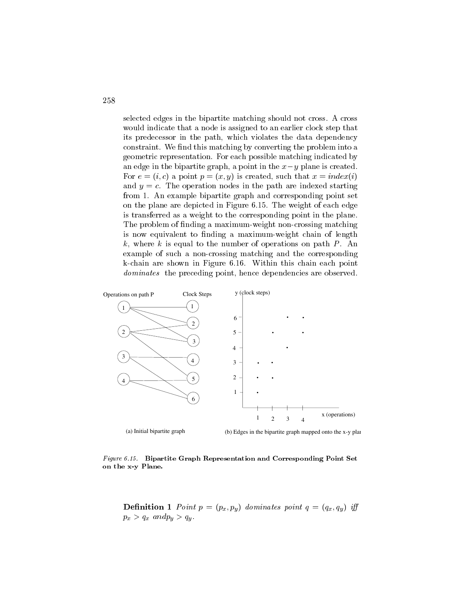selected edges in the bipartite matching should not cross A cross would indicate that a node is assigned to an earlier clock step that its predecessor in the path, which violates the data dependency constraint. We find this matching by converting the problem into a geometric representation. For each possible matching indicated by an edge in the bipartite graph, a point in the  $x-y$  plane is created.  $-$  contracted such that  $\alpha$  is contracted such that  $\alpha$  is contracted such that  $\alpha$ and  $y = c$ . The operation nodes in the path are indexed starting from 1. An example bipartite graph and corresponding point set on the plane are depicted in Figure 6.15. The weight of each edge is transferred as a weight to the corresponding point in the plane The problem of nding a maximum-weight non-crossing matching is now equivalent to nding a maximum-weight chain of length k, where k is equal to the number of operations on path  $P$ . An example of such a non-crossing matching and the corresponding k-chain are shown in Figure Within this chain each point dominates the preceding point, hence dependencies are observed.



Figure - Bipartite Graph Representation and Corresponding Point Set on the x-y Plane.

De nition Point p px py dominates point q qx qy i  $\mathbb {P}$  and  $\mathbb {P}$  and  $\mathbb {P}$  and  $\mathbb {P}$  and  $\mathbb {P}$  and  $\mathbb {P}$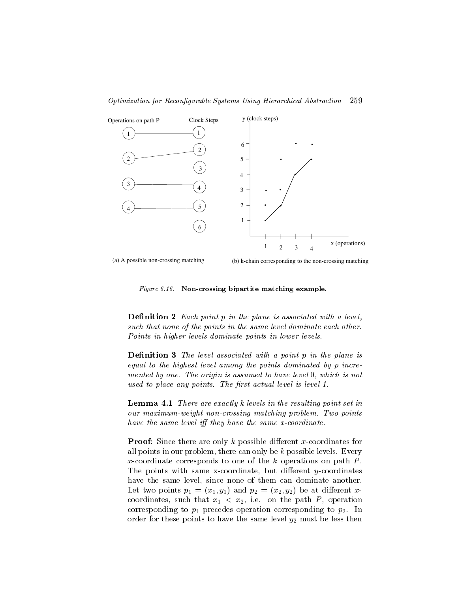

(a) A possible non-crossing matching (b) k-chain corresponding to the non-crossing matching

Figure - Noncrossing bipartite matching example

De nition Each point p in the plane is associated with a level such that none of the points in the same level dominate each other. Points in higher levels dominate points in lower levels

 $\blacksquare$  . The level associated with a point p in the plane is  $\blacksquare$ equal to the highest level among the points dominated by p incre mented by one. The origin is assumed to have level  $0$ , which is not used to place any points. The first actual level is level  $1$ .

Lemma There are exactly k levels in the resulting point set in our maximum-weight non-crossing matching problem. Two points have the same level iff they have the same  $x$ -coordinate.

Proof Since there are only k possible dierent x-coordinates for all points in our problem, there can only be  $k$  possible levels. Every x-coordinate corresponds to one of the k operations on path P The points with same x-coordinate but dierent y-coordinates have the same level, since none of them can dominate another. Let two points p x y and p x y be at dierent xcoordinates, such that  $x_1 < x_2$ , i.e. on the path P, operation corresponding to  $p_1$  precedes operation corresponding to  $p_2$ . In order for these points to have the same level  $y_2$  must be less then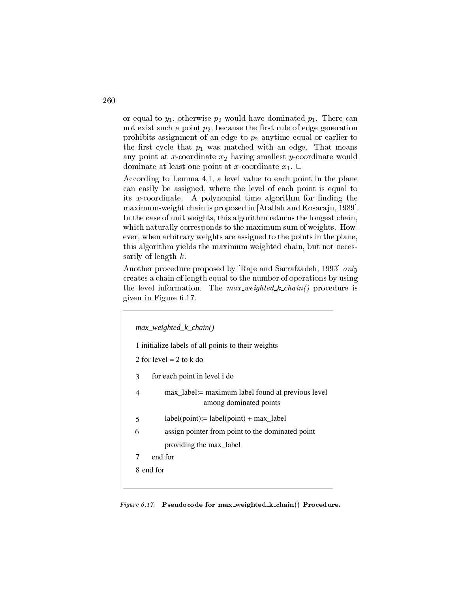or equal to  $y_1$ , otherwise  $p_2$  would have dominated  $p_1$ . There can not exist such a point  $p_2$ , because the first rule of edge generation prohibits assignment of an edge to  $p_2$  anytime equal or earlier to the first cycle that  $p_1$  was matched with an edge. That means any point at a coordinate was made would see the smallest y-coordinate would dominate at least one point at least one point at least one point at  $\pm$ 

According to Lemma 4.1, a level value to each point in the plane can easily be assigned, where the level of each point is equal to its a polynomial time  $\rho$  is  $\rho$  in time algorithm for non-non-polynomial  $\rho$ maximum-weight chain is proposed in Atallah and Kosara ju In the case of unit weights, this algorithm returns the longest chain, which naturally corresponds to the maximum sum of weights. However, when arbitrary weights are assigned to the points in the plane, this algorithm yields the maximum weighted chain, but not necessarily of length  $k$ .

Another procedure proposed by [Raje and Sarrafzadeh, 1993] only creates a chain of length equal to the number of operations by using the level interesting in the maximum matrix  $\mathcal{L}_{\mathcal{A}}$  is a chain-distribution of the maximum matrix of the maximum matrix of the maximum matrix of the maximum matrix of the maximum matrix of the maximum matrix of the given in Figure

| $max\_weighted_k\_chain()$                                                           |  |  |
|--------------------------------------------------------------------------------------|--|--|
| 1 initialize labels of all points to their weights                                   |  |  |
| 2 for level $= 2$ to k do                                                            |  |  |
| for each point in level i do<br>3                                                    |  |  |
| max_label:= maximum label found at previous level<br>4<br>among dominated points     |  |  |
| $label(point)=label(point)+max$ label( $point$ ) = label( $point$ ) + max label<br>5 |  |  |
| assign pointer from point to the dominated point<br>6                                |  |  |
| providing the max_label                                                              |  |  |
| 7<br>end for                                                                         |  |  |
| 8 end for                                                                            |  |  |
|                                                                                      |  |  |

Figure - Pseudocode for max weighted k chain Procedure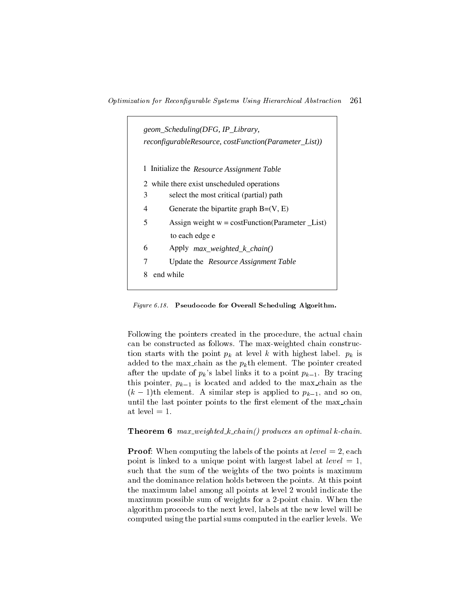

Figure - Pseudocode for Overall Scheduling Algorithm

Following the pointers created in the procedure, the actual chain  $\mathcal{W}$ tion starts with the point  $\rho_{\ell}$  at level  $\alpha$  with highest label parallel  $\rho_{\ell}$  is added to the max chain as the  $p_k$ th element. The pointer created after the update of  $p_k$ 's label links it to a point  $p_{k-1}$ . By tracing this pointer,  $p_{k-1}$  is located and added to the max chain as the  $t \kappa = t$  and element. A similar step is applied to  $p_{k-1}$ , and so on, until the last pointer points to the first element of the max\_chain at level  $= 1$ .

### $\blacksquare$  . The  $\blacksquare$  produces and  $\blacksquare$  is an optimal komponent and  $\blacksquare$  . The set of  $\blacksquare$

**Proof:** When computing the labels of the points at  $level = 2$ , each point is linked to a unique point with largest label at  $level = 1$ . such that the sum of the weights of the two points is maximum and the dominance relation holds between the points. At this point the maximum label among all points at level 2 would indicate the maximum possible sum of weights for a -point chain When the algorithm proceeds to the next level, labels at the new level will be computed using the partial sums computed in the earlier levels. We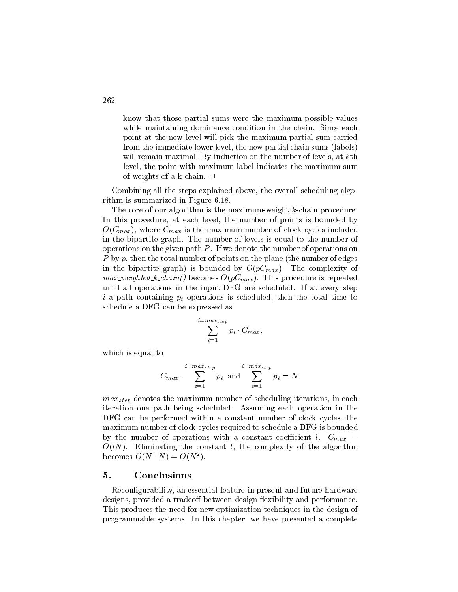know that those partial sums were the maximum possible values while maintaining dominance condition in the chain. Since each point at the new level will pick the maximum partial sum carried from the immediate lower level, the new partial chain sums (labels) will remain maximal. By induction on the number of levels, at  $k$ th level, the point with maximum label indicates the maximum sum chain a chain and a chain a chain a chain a chain a chain a chain a chain a chain a chain a chain a chain a ch

Combining all the steps explained above the overall scheduling algorithm is summarized in Figure 6.18.

The core of our algorithm is the maximum-weight k-chain procedure In this procedure, at each level, the number of points is bounded by  $\sim$  (  $\sim$   $\mu$ )  $\mu$  is the cmaximum number of contracted in contracted in contracted in  $\mu$ in the bipartite graph. The number of levels is equal to the number of operations on the given path  $P$ . If we denote the number of operations on P by  $p$ , then the total number of points on the plane (the number of edges in the bipartite graphs in the bird of  $\beta$  , or  $W$  of  $W$  and  $W$  is the complexity of  $\beta$ maximax weighted k chain-becomes original chain-becomes  $\mathbf{r}$ until all operations in the input DFG are scheduled. If at every step i a path containing pi operations is scheduled then the total time to schedule a DFG can be expressed as

$$
\sum_{i=1}^{i=max_{step}} p_i \cdot C_{max},
$$

which is equal to

$$
C_{max} \cdot \sum_{i=1}^{i=max_{step}} p_i \text{ and } \sum_{i=1}^{i=max_{step}} p_i = N.
$$

maximum  $\sigma$  and the maximum number of scheduling iterations in the maximum is easily in each  $\sigma$  . The maximum is easily in each  $\sigma$ iteration one path being scheduled. Assuming each operation in the DFG can be performed within a constant number of clock cycles, the maximum number of clock cycles required to schedule a DFG is bounded by the number of operations with a constant coefficient line  $\mathcal{C}_{H00w}$ O lN Eliminating the constant l the complexity of the algorithm becomes  $U(N \cdot N) = U(N)$ .

#### 5. Conclusions

Reconfigurability, an essential feature in present and future hardware designs, provided a tradeoff between design flexibility and performance. This produces the need for new optimization techniques in the design of programmable systems In this chapter we have presented a complete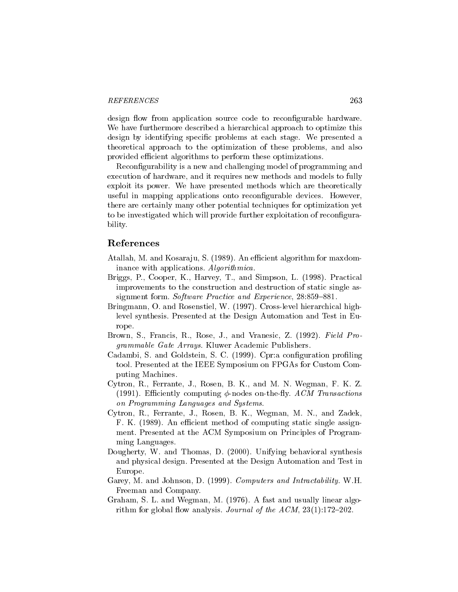design flow from application source code to reconfigurable hardware. We have furthermore described a hierarchical approach to optimize this design by identifying specific problems at each stage. We presented a theoretical approach to the optimization of these problems, and also provided efficient algorithms to perform these optimizations.

Reconfigurability is a new and challenging model of programming and execution of hardware, and it requires new methods and models to fully exploit its power. We have presented methods which are theoretically useful in mapping applications onto reconfigurable devices. However, there are certainly many other potential techniques for optimization yet to be investigated which will provide further exploitation of reconfigurability

# References

- $A$  and  $A$  and  $A$  and  $A$  and  $A$  and  $A$  and  $A$  and  $A$ inance with applications. Algorithmica.
- Briggs P Cooper K Harvey T and Simpson L Simpson L Simpson L Simpson L Simpson L Simpson L Simpson L Simpson L improvements to the construction and destruction of static single assignment form. Software Practice and Experience, 28:859-881.
- Bringmann O and Rosenstiel W Cross-level hierarchical highlevel synthesis Presented at the Design Automation and Test in Europe
- Brown S Francis R Rose J and Vranesic Z  Field Pro grammable Gate Arrays. Kluwer Academic Publishers.
- Cadamin S and Goldstein S C (1999), Cprain S C and A Control of the Control of the Congregation of the Congregation C tool Presented at the IEEE Symposium on FPGAs for Custom Computing Machines
- Cytron, R., Ferrante, J., Rosen, B. K., and M. N. Wegman, F. K. Z.  $\mathcal{L}_1$  and  $\mathcal{L}_2$  computing  $\mathcal{L}_2$  and the contractions on a constraint  $\mathcal{L}_3$ on Programming Languages and Systems
- Cytron, R., Ferrante, J., Rosen, B. K., Wegman, M. N., and Zadek, F K An ecient method of computing static single assignment. Presented at the ACM Symposium on Principles of Programming Languages
- $\mathcal{L}$  . Thomas D and Thomas D  $\mathcal{L}$  , we are also defined by the synthesis of  $\mathcal{L}$ and physical design Presented at the Design Automation and Test in Europe
- Garey M and Johnson D and D and International International International International International International International International International International International International International Internat Freeman and Company
- Graham S L and Wegman M A fast and usually linear algorithm for global owners and the ACM of the ACM of the ACM of the ACM of the ACM of the ACM of the ACM of the ACM of the ACM of the ACM of the ACM of the ACM of the ACM of the ACM of the ACM of the ACM of the ACM of the ACM